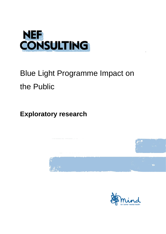

# Blue Light Programme Impact on the Public

**Exploratory research**



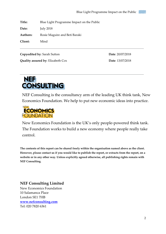**Title:** Blue Light Programme Impact on the Public **Date:** July 2018 **Authors:** Rosie Maguire and Beti Baraki **Client:** Mind

**Copyedited by**: Sarah Sutton **Date**: 20/07/2018

 $\overline{a}$ 

**Quality assured by**: Elizabeth Cox **Date**: 13/07/2018



NEF Consulting is the consultancy arm of the leading UK think tank, New Economics Foundation. We help to put new economic ideas into practice.



New Economics Foundation is the UK's only people-powered think tank. The Foundation works to build a new economy where people really take control.

**The contents of this report can be shared freely within the organisation named above as the client. However, please contact us if you would like to publish the report, or extracts from the report, on a website or in any other way. Unless explicitly agreed otherwise, all publishing rights remain with NEF Consulting.**

#### **NEF Consulting Limited**

New Economics Foundation 10 Salamanca Place London SE1 7HB **[www.nefconsulting.com](http://www.nefconsulting.com/)** Tel: 020 7820 6361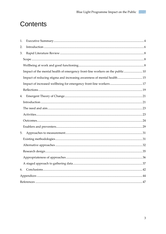## Contents

| 1. |                                                                             |  |  |
|----|-----------------------------------------------------------------------------|--|--|
| 2. |                                                                             |  |  |
| 3. |                                                                             |  |  |
|    |                                                                             |  |  |
|    |                                                                             |  |  |
|    | Impact of the mental health of emergency front-line workers on the public10 |  |  |
|    | Impact of reducing stigma and increasing awareness of mental health15       |  |  |
|    |                                                                             |  |  |
|    |                                                                             |  |  |
| 4. |                                                                             |  |  |
|    |                                                                             |  |  |
|    |                                                                             |  |  |
|    |                                                                             |  |  |
|    |                                                                             |  |  |
|    |                                                                             |  |  |
| 5. |                                                                             |  |  |
|    |                                                                             |  |  |
|    |                                                                             |  |  |
|    |                                                                             |  |  |
|    |                                                                             |  |  |
|    |                                                                             |  |  |
| 6. |                                                                             |  |  |
|    |                                                                             |  |  |
|    |                                                                             |  |  |

 $\overline{3}$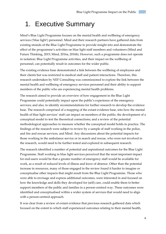## <span id="page-3-0"></span>1. Executive Summary

Mind's Blue Light Programme focuses on the mental health and wellbeing of emergency services ('blue light') personnel. Mind and their research partners have gathered data from existing strands of the Blue Light Programme to provide insight into and demonstrate the effect of the programme's activities on blue light staff members and volunteers (Mind and Future Thinking, 2015; Mind, 2016a, 2016b). However, such a programme does not operate in isolation: Blue Light Programme activities, and their impact on the wellbeing of personnel, can potentially result in outcomes for the wider public.

The existing evidence base demonstrated a link between the wellbeing of employees and their clients but was restricted to medical staff and patient interactions. Therefore, this research undertaken by NEF Consulting was commissioned to explore the link between the mental health and wellbeing of emergency services personnel and their ability to support members of the public who are experiencing mental health problems.

The research aimed to provide an overview of how engagement in the Blue Light Programme could potentially impact upon the public's experience of the emergency services; and also, to identify recommendations for further research to develop the evidence base. The research comprised of a mapping of the extant evidence base, into how the mental health of blue light services' staff can impact on members of the public; the development of a conceptual model to test the theoretical connections; and a review of the potential methodological approaches to measure whether the conceptual model holds in practice. The findings of the research were subject to review by a sample of staff working in the police, and fire and rescue services, and Mind. Any discussions about the potential impacts for those working in the ambulance service or in search and rescue, who were not involved in the research, would need to be further tested and explored in subsequent research.

The research identified a number of potential and aspirational outcomes for the Blue Light Programme. Staff working in blue light services perceived that the most important impact for end-users would be that a greater number of emergency staff would be available for work, as a result of reduced levels of illness and leave of absence. Other than the potential increase in resources, many of those engaged in the review found it harder to imagine or conceptualise other impacts that might result from the Blue Light Programme. Those who were able to envisage and express additional outcomes, were interested in and focused on how the knowledge and skills they developed for (self) care, could enable them to better support members of the public and families in a person-centred way. These outcomes were identified and conceptualised within a wider system of services that would need to align with a person-centred approach.

It was clear from a review of extant evidence that previous research gathered data which focused on the extent to which staff experienced outcomes relating to their mental health,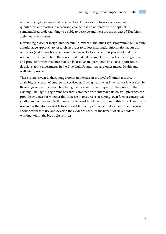within blue light services and other sectors. This evidence focuses predominately on quantitative approaches to measuring change that do not provide the depth of contextualised understanding to be able to describe and measure the impact of Blue Light activities on end-users.

Developing a deeper insight into the public impact of the Blue Light Programme will require a multi-stage approach to research, in order to collect meaningful information about the outcomes (and interactions between outcomes) at a local level. It is proposed that this research will enhance both the conceptual understanding of the impact of the programme, and provide further evidence that can be used at an operational level, to support future decisions about investments in the Blue Light Programme and other mental health and wellbeing provision.

There is one caveat to these suggestions: an increase in the level of human resource available, as a result of emergency services staff being healthy and well at work, was seen by those engaged in this research as being the most important impact for the public. If the existing Blue Light Programme research, combined with internal data on staff presence, can provide evidence for whether this increase in resource is occurring, then further conceptual studies and evidence collection may not be considered the priorities at this time. The current research is therefore available to support Mind and partners to make an informed decision about how best to use and develop the evidence base, for the benefit of stakeholders working within the blue light services.

5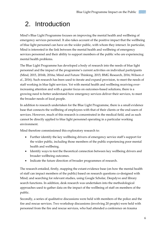## <span id="page-5-0"></span>2. Introduction

Mind's Blue Light Programme focuses on improving the mental health and wellbeing of emergency services personnel. It also takes account of the positive impact that the wellbeing of blue light personnel can have on the wider public, with whom they interact. In particular, Mind is interested in the link between the mental health and wellbeing of emergency services personnel and their ability to support members of the public who are experiencing mental health problems.

The Blue Light Programme has developed a body of research into the needs of blue light personnel and the impact of the programme's current activities on individual participants (Mind, 2015, 2016b, 2016a; Mind and Future Thinking, 2015; BMG Research, 2016; Wilson *et al.*, 2016). Such research has been used to iterate and expand provision, to meet the needs of staff working in blue light services. Yet with mental health and wellbeing receiving everincreasing attention and with a greater focus on outcomes-based solutions, there is a growing need to better understand how emergency services deliver their services, to meet the broader needs of local people.

In addition to research undertaken for the Blue Light Programme, there is a small evidence base that connects the wellbeing of employees with that of their clients or the end-users of services. However, much of this research is concentrated in the medical field, and as such cannot be directly applied to blue light personnel operating in a particular working environment.

Mind therefore commissioned this exploratory research to:

- Further identify the key wellbeing drivers of emergency service staff's support for the wider public, including those members of the public experiencing poor mental health and wellbeing.
- Identify ways to test the theoretical connection between key wellbeing drivers and broader wellbeing outcomes.
- Indicate the future direction of broader programmes of research.

The research entailed, firstly, mapping the extant evidence base (on how the mental health of staff can impact members of the public) based on research questions co-designed with Mind; and searching for relevant studies, using Google Scholar, Deepdyve and library search functions. In addition, desk research was undertaken into the methodological approaches used to gather data on the impact of the wellbeing of staff on members of the public.

Secondly, a series of qualitative discussions were held with members of the police and the fire and rescue services. Two workshop discussions (involving 20 people) were held with personnel from the fire and rescue services, who had attended a conference on trauma

6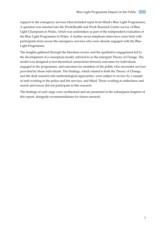support in the emergency services (that included input from Mind's Blue Light Programme). A question was inserted into the Work2health and Work Research Centre survey of Blue Light Champions in Wales, which was undertaken as part of the independent evaluation of the Blue Light Programme in Wales. A further seven telephone interviews were held with participants from across the emergency services who were already engaged with the Blue Light Programme.

The insights gathered through the literature review and the qualitative engagement led to the development of a conceptual model, referred to as the emergent Theory of Change. The model was designed to test theoretical connections between outcomes for individuals engaged in the programme, and outcomes for members of the public who encounter services provided by those individuals. The findings, which related to both the Theory of Change, and the desk research into methodological approaches, were subject to review by a sample of staff working in the police and fire services, and Mind. Those working in ambulance and search and rescue did not participate in this research.

The findings of each stage were synthesised and are presented in the subsequent chapters of this report, alongside recommendations for future research.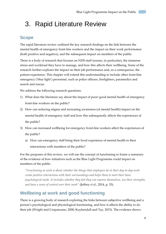## <span id="page-7-0"></span>3. Rapid Literature Review

#### <span id="page-7-1"></span>**Scope**

The rapid literature review outlined the key research findings on the link between the mental health of emergency front-line workers and the impact on their work performance (both positive and negative), and the subsequent impact on members of the public.

There is a body of research that focuses on NHS staff (nurses, in particular), the immense stress and workload they have to manage, and how this affects their wellbeing. Some of the research further explores the impact on their job performance and, as a consequence, the patient experience. This chapter will extend this understanding to include other front-line emergency ('blue light') personnel, such as police officers, firefighters, paramedics and search and rescue.

We address the following research questions:

- 1) What does the literature say about the impact of poor/ good mental health of emergency front-line workers on the public?
- 2) How can reducing stigma and increasing awareness (of mental health) impact on the mental health of emergency staff and how this subsequently affects the experiences of the public?
- 3) How can increased wellbeing for emergency front-line workers affect the experiences of the public?
	- a) How can emergency staff bring their lived experience of mental health to their interactions with members of the public?

For the purposes of this review, we will use the concept of functioning to frame a summary of the evidence of how initiatives such as the Blue Light Programme could impact on members of the public.

*"Functioning at work is about whether the things that employees do in their day-to-day work create positive interactions with their surroundings and helps them to meet their basic psychological needs. It includes whether they feel they can express themselves, use their strengths, and have a sense of control over their work"* (Jeffrey *et al.*, 2014, p. 33)*.*

#### <span id="page-7-2"></span>**Wellbeing at work and good functioning**

There is a growing body of research exploring the links between subjective wellbeing and a person's psychological and physiological functioning, and how it affects the ability to do their job (Wright and Cropanzano, 2000; Kuykendall and Tay, 2015). The evidence shows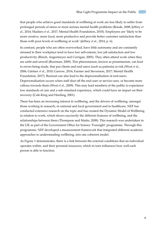that people who achieve good standards of wellbeing at work are less likely to suffer from prolonged periods of stress or more serious mental health problems (Bonde, 2008; Jeffrey *et al.*, 2014; Madsen *et al.*, 2017; Mental Health Foundation, 2018). Employees are 'likely to be more creative, more loyal, more productive and provide better customer satisfaction than those with poor levels of wellbeing at work' (Jeffrey *et al.*, 2014, p. 6).

In contrast, people who are often overworked, have little autonomy and are constantly stressed in their workplace tend to have low self-esteem, low job satisfaction and low productivity (Rüsch, Angermeyer and Corrigan, 2005). They often attend work when they are unfit and unwell (Boorman, 2009). This phenomenon, known as presenteeism, can lead to errors being made, that put clients and end-users (such as patients) at risk (West *et al.*, 2006; Gärtner *et al.*, 2010; Garrow, 2016; Farmer and Stevenson, 2017; Mental Health Foundation, 2017). Burnout can also lead to the depersonalisation of end-users. Depersonalisation occurs when staff shut off the end-user or service-user, or become more callous towards them (West *et al.*, 2009). This may lead members of the public to experience low standards of care and a sub-standard experience, which could have an impact on their recovery (Cole-King and Harding, 2001).

There has been an increasing interest in wellbeing, and the drivers of wellbeing, amongst those working in research, in national and local government and in healthcare. NEF has conducted extensive research on the topic and has created the Dynamic Model of Wellbeing in relation to work, which shows succinctly the different features of wellbeing, and the relationships between them (Thompson and Marks, 2008). This research was undertaken in the UK as part of the Government Office for Science 'Foresight' programme. Through this programme, NEF developed a measurement framework that integrated different academic approaches to understanding wellbeing, into one coherent model.

As Figure 1 demonstrates, there is a link between the external conditions that an individual operates within, and their personal resources; which in turn influences how well each person is able to function.

9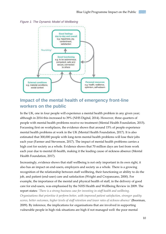

*Figure 1: The Dynamic Model of Wellbeing*

#### <span id="page-9-0"></span>**Impact of the mental health of emergency front-line workers on the public**

In the UK, one in four people will experience a mental health problem in any given year; although in 2014 this increased to 39% (NHS Digital, 2014). However, three quarters of people with mental health problems receive no treatment (Mental Health Foundation, 2015). Focussing first on workplaces, the evidence shows that around 15% of people experience mental health problems at work in the UK (Mental Health Foundation, 2017). It is also estimated that 300,000 people with long-term mental health problems will lose their jobs each year (Farmer and Stevenson, 2017). The impact of mental health problems carries a high cost for society as a whole. Evidence shows that 70 million days are lost from work each year due to mental ill-health, making it the leading cause of sickness absence (Mental Health Foundation, 2017).

Increasingly, evidence shows that staff wellbeing is not only important in its own right, it also has an impact on end-users, employers and society as a whole. There is a growing recognition of the relationship between staff wellbeing, their functioning or ability to do the job, and patient (end-user) care and satisfaction (Wright and Cropanzano, 2000). For example, the importance of the mental and physical health of staff, in the delivery of good care for end-users, was emphasised by the NHS Health and Wellbeing Review in 2009. The report states: *'There is a strong business case for investing in staff health and wellbeing. Organisations that prioritise it perform better, with improved patient satisfaction, stronger quality scores, better outcomes, higher levels of staff retention and lower rates of sickness absence'* (Boorman, 2009). By inference, the implications for organisations that are involved in supporting vulnerable people in high risk situations are high if not managed well: the poor mental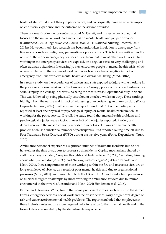health of staff could affect their job performance, and consequently have an adverse impact on end-users' experience and the outcome of the service provided.

There is a wealth of evidence centred around NHS staff, and nurses in particular, that focuses on the impact of workload and stress on mental health and job performance. (Gärtner *et al.*, 2010; Poghosyan *et al.*, 2010; Dean, 2011; National Nursing Research Unit, 2013a). However, much less research has been undertaken in relation to emergency frontline workers such as firefighters, paramedics or police officers. This lack is significant as the nature of the work in emergency services differs from that in most other workplaces. Staff working in the emergency services are exposed, on a regular basis, to very challenging and often traumatic situations. Increasingly, they encounter people in mental health crisis; which when coupled with the volume of work across each service has a negative impact on emergency front-line workers' mental health and overall wellbeing (Mind, 2016a).

In a recent study, on the experiences of officers and staff exposed to injury while working in the police service (undertaken by the University of Surrey), police officers rated witnessing a serious injury to a colleague at work, as being the most stressful operational duty incident. This was followed by being physically assaulted or attacked whilst on duty. These findings highlight both the nature and impact of witnessing or experiencing an injury on duty (Police Dependants' Trust, 2016). Furthermore, the report found that 81% of the participants reported at least one physical or psychological injury, or mental health problem, whilst working for the police service. Overall, the study found that mental health problems and psychological injuries were a factor in over half of the injuries reported. Anxiety and depression were the most commonly reported psychological injuries or mental health problems, whilst a substantial number of participants (16%) reported taking time off due to Post-Traumatic Stress Disorder (PTSD) during the last five years (Police Dependants' Trust, 2016).

Ambulance personnel experience a significant number of traumatic incidents but do not have either the time or support to process such incidents. Coping mechanisms shared by staff in a survey included, "keeping thoughts and feelings to self" (82%), "avoiding thinking about what you are doing" (69%), and "talking with colleagues" (94%) (Alexander and Klein, 2001). Increasing numbers of those working within the fire and rescue services are on long-term leave of absence as a result of poor mental health, and due to organisational pressures (Mind, 2015); and research in both the UK and USA has found a high prevalence of suicidal thoughts or attempts by those working in ambulance services due to trauma encountered in their work (Alexander and Klein, 2001; Henderson *et al.*, 2016).

Farmer and Stevenson (2017) found that some public-sector roles, such as within the Armed Forces, emergency services, social work and the prison service, carry a significant degree of risk and can exacerbate mental health problems. The report concluded that employees in these high-risk roles require more targeted help, in relation to their mental health and in the form of clear accountability by the departments responsible.

11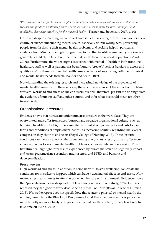*'We recommend that public sector employers should identify employees at higher risk of stress or trauma and produce a national framework which coordinates support for these employees and establishes clear accountability for their mental health'* (Farmer and Stevenson, 2017, p. 10)

However, despite increasing awareness of such issues at a strategic level, there is a pervasive culture of silence surrounding mental health, especially within workplaces, preventing people from disclosing their mental health problems and seeking help. In particular, evidence from Mind's Blue Light Programme, found that front-line emergency workers are generally less likely to talk about their mental health than the general population (Mind, 2016a). Furthermore, the wider stigma associated with mental ill-health in both front-line healthcare staff as well as patients has been found to 'create[s] serious barriers to access and quality care' for those with mental health issues, in terms of supporting both their physical and mental health needs (Knaak, Mantler and Szeto, 2017).

Notwithstanding the existing research and increasing knowledge of the prevalence of mental health issues within these services, there is little evidence of the impact of front-line workers' workload and stress on the end-users. We will, therefore, present the findings from the evidence of nursing staff and other sources, and infer what this could mean for other front-line staff.

#### Organisational pressures

Evidence shows that nurses are under immense pressure in the workplace. They are overworked and suffer from stress, burnout and negative organisational culture, such as bullying. In addition to this, nurses are often worried about job security and cuts to their terms and conditions of employment, as well as increasing scrutiny regarding the level of compassion they show to end-users (Royal College of Nursing, 2013). These (external) conditions can have an effect on their functioning at work. As a result, nurses suffer from stress, and other forms of mental health problems such as anxiety and depression. This literature will highlight three issues experienced by nurses that can also negatively impact end-users: presenteeism; secondary trauma stress and PTSD; and burnout and depersonalisation.

#### **Presenteeism**

High workload and stress, in addition to being harmful to staff wellbeing, can create the conditions for mistakes to happen, which can have a detrimental effect on end-users. Workrelated stress leads nurses to attend work when they are unfit and unwell. Evidence shows that 'presenteeism' is a widespread problem among nurses. In one study, 82% of nurses reported they had gone to work despite being 'unwell or unfit' (Royal College of Nursing, 2013). Whilst the report does not specify how this relates to physical or mental health, the scoping research for the Blue Light Programme found that emergency services personnel more broadly are more likely to experience a mental health problem, but are less likely to take time off (Mind, 2016a).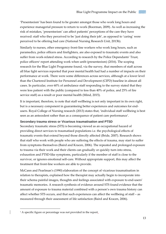'Presenteeism' has been found to be greater amongst those who work long hours and experience managerial pressure to return to work (Boorman, 2009). As well as increasing the risk of mistakes, 'presenteeism' can affect patients' perceptions of the care they have received: staff who they perceived to be 'just doing their job', as opposed to 'caring' were perceived to be offering bad care (National Nursing Research Unit, 2013b).

Similarly to nurses, other emergency front-line workers who work long hours, such as paramedics, police officers and firefighters, are also exposed to traumatic events and also suffer from work-related stress. According to research by the Police Dependants' Trust, police officers<sup>1</sup> report attending work when unfit (presenteeism) (2016). The scoping research for the Blue Light Programme found, via the survey, that members of staff across all blue light services reported that poor mental health had had a number of impacts on their performance at work. There were some differences across services, although at a lower level than the Chartered Institute for Personnel and Development (CIPD) baseline in almost all cases. In particular, over 60% of ambulance staff responding to the survey stated that they were less patient with the public (compared to less than 40% of police, and 25% of fire service staff) as a result or poor mental health (Mind, 2015).

It is important, therefore, to note that staff wellbeing is not only important in its own right, but is a necessary component in guaranteeing better experiences and outcomes for endusers. Royal College of Nursing research (2013) states that, 'individual staff wellbeing is best seen as an antecedent rather than as a consequence of patient care performance'.

#### **Secondary trauma stress or Vicarious traumatisation and PTSD**

Secondary traumatic stress (STS) is becoming viewed as an occupational hazard of providing direct services to traumatised populations i.e. the psychological effects of traumatic events that extend beyond those directly affected (Bride, 2007). Research shows that staff who work with people who are suffering the effects of trauma, may start to suffer from symptoms themselves (Baird and Kracen, 2006). The repeated and prolonged exposure to trauma via their work and their clients can gradually or quickly turn into stress, exhaustion and PTSD-like symptoms, particularly if the member of staff is close to the survivor, or ignores emotional self-care. Without appropriate support, this may affect the treatment that front-line workers are able to provide.

McCann and Pearlman's (1990) elaboration of the concept of vicarious traumatisation in relation to therapists, explained how the therapist may actually begin to incorporate into their schema painful images, thoughts and feelings associated with exposure to end-users' traumatic memories. A research synthesis of evidence around STS found evidence that the amount of exposure to trauma material combined with a person's own trauma history can affect whether STS occurs, and that such experiences can affect the wellbeing of staff – as measured through their assessment of life satisfaction (Baird and Kracen, 2006).

-

<sup>&</sup>lt;sup>1</sup> A specific figure or percentage was not provided in the report.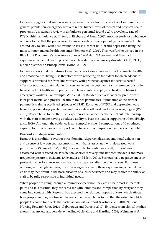Evidence suggests that similar results are seen in other front-line workers. Compared to the general population, emergency workers report higher levels of mental and physical health problems. A systematic review of ambulance personnel found a 20% prevalence rate of PTSD within ambulance staff (Sterud, Ekeberg and Hem, 2006). Another study of ambulance workers found that the prevalence of clinical levels of psychopathology is estimated to be around 20% to 30%, with post-traumatic stress disorder (PTSD) and depression being the most common mental health outcomes (Bennett *et al.*, 2004). This was further echoed in the Blue Light Programme's own survey of over 1,600 staff: '62 per cent said they had experienced a mental health problem – such as depression, anxiety disorder, OCD, PTSD, bipolar disorder or schizophrenia' (Mind, 2016c).

Evidence shows that the nature of emergency work does have an impact on mental health and emotional wellbeing. It is therefore worth reflecting on the extent to which adequate support is provided for front-line workers, with protection against the serious harmful effects of traumatic material, if end-users are to get the best care. A small number of studies have aimed to identify early predictors of later mental and physical health problems in emergency workers. For example, Wild et al. (2016) identified a set of early predictors of later poor mental and physical health in trainee paramedics. Rumination at the start of paramedic training predicted episodes of PTSD. Episodes of PTSD and depression were linked to poorer sleep, greater burn-out, more days off work and greater weight gain (Wild, 2016). Research has found that such experiences can affect the 'helper–client' relationship, with the staff member having a reduced ability to bear the load of supporting others (Phelps *et al.*, 2009). Although the evidence is not comprehensive, the implications of the reduced capacity to provide care and support could have a direct impact on members of the public.

#### **Burnout and depersonalisation**

Burnout is a condition covering three domains (depersonalisation, emotional exhaustion, and a sense of low personal accomplishment) that is associated with decreased work performance (Shanafelt *et al.*, 2002). For example, for ambulance staff, burnout was associated with reduced job satisfaction, shorter recovery time between incidents and more frequent exposure to incidents (Alexander and Klein, 2001). Burnout has a negative effect on professional performance and can lead to the depersonalisation of end-users. For those working in blue light services, the increasing exposure to those experiencing a mental health crisis may then result in the normalisation of such experiences and may reduce the ability of staff to be fully responsive to individual needs.

When people are going through a traumatic experience, they are at their most vulnerable point and it is essential they are cared for with kindness and compassion by everyone they come into contact with. Research has explored the relational aspects of care, which affects how people feel they are treated. In particular, research has found that the extent to which people *feel* cared for affects their satisfaction with support (Gärtner *et al.*, 2010; National Nursing Research Unit, 2013b; Ogbonnaya and Daniels, 2017). Evidence from clinical studies shows that anxiety and fear delay healing (Cole-King and Harding, 2001; Weinman *et al.*,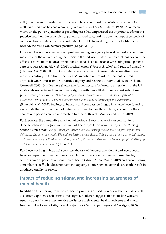2008). Good communication with end-users has been found to contribute positively to wellbeing, and also hastens recovery (Suchman *et al.*, 1993; Shuldham, 1999). More recent work, on the power dynamics of providing care, has emphasised the importance of nursing practice based on the principles of patient-centred care, and its potential impact on levels of safety within hospitals: if nurses and patient are able to work together to identify the care needed, the result can be more positive (Kagan, 2014).

However, burnout is a widespread problem among emergency front-line workers, and this may prevent them from seeing the *person* in the end-user. Extensive research has covered the effects of burnout on medical professionals; it has been associated with suboptimal patient care practices (Shanafelt *et al.*, 2002), medical errors (West *et al.*, 2006) and reduced empathy (Thomas *et al.*, 2007). Burnout may also exacerbate the incidence of depersonalised care which is contrary to the front-line worker's intention of providing a patient-centred approach where end-users are accorded dignity and respect as individuals (Goodrich and Cornwell, 2008). Studies have shown that junior doctors (referred to as residents in the US study) who experienced burnout were significantly more likely to self-report suboptimal patient care (for example: "*I did not fully discuss treatment options or answer a patient's questions.*" or "*I made . . . errors that were not due to a lack of knowledge or inexperience.*") (Shanafelt *et al.*, 2002). Feelings of burnout and compassion fatigue have also been found to exacerbate the poor treatment of patients with mental health problems, and reduce their chance of a person-centred approach to treatment (Knaak, Mantler and Szeto, 2017).

Furthermore, the cumulative effect of delivering sub-optimal work can contribute to depersonalisation. Dr Jocelyn Cornwell of The King's Fund commenting in the *Nursing Standard* states that: '*Many nurses feel under enormous work pressure, but also feel they are not delivering the care they would like and are letting people down. If that goes on for an extended period, and there is no way of thinking or talking about it, it can be destructive. It leads to people shutting off and depersonalising patients.*' (Dean, 2011).

For those working in blue light services, the risk of depersonalisation of end-users could have an impact on those using services. High numbers of end-users who use blue light services have experience of poor mental health (Mind, 2016a; Marsh, 2017) and encountering a member of staff who does not have the capacity to offer person-centred care could result in a reduced quality of service.

#### <span id="page-14-0"></span>**Impact of reducing stigma and increasing awareness of mental health**

In addition to suffering from mental health problems caused by work-related stresses, staff also often experience self-stigma and stigma. Evidence suggests that front-line workers usually do not believe they are able to disclose their mental health problems and avoid treatment due to fear of stigma and prejudice (Rüsch, Angermeyer and Corrigan, 2005).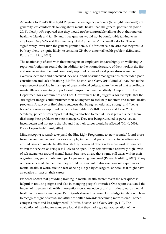According to Mind's Blue Light Programme, emergency workers (blue light personnel) are generally less comfortable talking about mental health than the general population (Mind, 2015). Nearly 40% reported that they would not be comfortable talking about their mental health to friends and family and three quarters would not be comfortable talking to an employer. Only 57% said they are 'very likely/quite likely' to consult a doctor. This is significantly lower than the general population, 82% of whom said in 2012 that they would be 'very likely' or 'quite likely' to consult a GP about a mental health problem (Mind and Future Thinking, 2015).

The relationship of staff with their managers or employers impacts highly on wellbeing. A report on firefighters found that in addition to the traumatic nature of their work in the fire and rescue service, the most commonly reported causes of workplace stress were the excessive demands and perceived lack of support of senior managers; which included poor consultation and lack of training (Moffitt, Bostock and Cave, 2014; Mind, 2016a). Due to the experience of working in this type of organisational culture, many believed that revealing a mental illness or seeking support would impact on them negatively. A report from the Department for Communities and Local Government (2008) suggests, for example, that the 'fire fighter image' could influence their willingness to seek help for stress and mental health problems. A survey of firefighters suggests that being "emotionally strong" and "being brave" are seen as important traits in a fire fighter (Moffitt, Bostock and Cave, 2014). Similarly, police officers report that stigma attached to mental illness prevents them from disclosing their problems to their managers. They fear being ridiculed or perceived as incompetent and not up to the job, and that their career would be affected (Mind, 2016a; Police Dependants' Trust, 2016).

Mind's scoping research to expand the Blue Light Programme to 'new recruits' found those from the younger generations (for example, in their first years of work) to be self-aware around issues of mental health, though they perceived others with more work experience within the services as being less likely to be open. They demonstrated relatively high levels of self-awareness around mental health but were aware that stigma still exists within their organisations, particularly amongst longer-serving personnel (Research Ability, 2017). Many of those surveyed claimed that they would be reluctant to disclose personal experiences of mental health at work, due to a fear of being judged by colleagues, or because it might have a negative impact on their career.

Evidence shows that providing training in mental health awareness in the workplace is helpful in reducing stigma and also in changing people's attitudes. One report evaluated the impact of three mental health interventions on knowledge of and attitudes towards mental health in fire service managers. Participants showed increased knowledge in relation to how to recognise signs of stress, and attitudes shifted towards 'becoming more tolerant, hopeful, compassionate and less judgmental' (Moffitt, Bostock and Cave, 2014, p. 110). The evaluation of training for managers found that they had a greater appreciation of the

16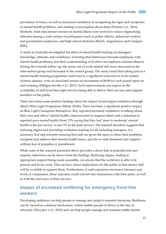prevalence of issues, as well as increased confidence in recognising the signs and symptoms of mental health problems, and starting a conversation about these (Wilson *et al.*, 2016). Similarly, brief educational courses on mental illness were proved to reduce stigmatising attitudes among a wide variety of participants (such as police officers, industrial workers and government employees, and high school students) (Rüsch, Angermeyer and Corrigan, 2005).

A study in Australia investigated the effect of mental health training on managers' knowledge, attitudes and confidence; including their behaviour towards employees with mental health problems, and their understanding of its effect on employee sickness absence. During the 6-month follow-up, the mean rate of work-related sick leave decreased in the intervention group and increased in the control group. The study found that taking part in a mental health training programme could lead to a significant reduction in work-related sickness absence, with an associated return-on-investment of \$9.98 for each pound spent on such training (Milligan-Saville *et al.*, 2017). Such improvements can impact on the availability of staff from blue light services being able to deliver their services and support members of the public.

There have been some positive findings about the impact of anti-stigma initiatives through Mind's Blue Light Programme (Mind, 2016b). There has been a significant positive impact on Blue Light Champions themselves: they reported increased confidence in talking about their own and others' mental health, empowerment to support others and a reduction in reported poor mental health (from 13% saying that they had 'poor to moderate' mental health in the pre-survey, to just 5% in the post-survey). The research therefore suggests that reducing stigma and providing workplace training for all, including managers, is a necessary first step towards ensuring that staff are given the space to share their problems, recognise and address their mental health issues, and also to seek treatment and support – without fear of prejudice or punishment.

While none of the research presented above provides a direct link to potential end-user impacts, inferences can be drawn from the findings. Reducing stigma, leading to appropriate support being made accessible, can ensure that the workforce is able to be present and fit for work. This can have direct implications for the public in that (more) staff will be available to support them. Furthermore, if staff experience increased tolerance and levels of compassion, these outcomes could convert into interactions with their peers, as well as with the end-users of their services.

#### <span id="page-16-0"></span>**Impact of increased wellbeing for emergency front-line workers**

Developing resilience can help people to manage and adapt to stressful situations. Resilience can be viewed as a defence mechanism, which enables people to thrive in the face of adversity (Davydov *et al.*, 2010) and can help people manage and maintain stable mental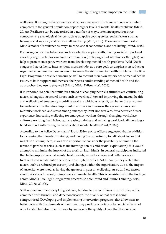wellbeing. Building resilience can be critical for emergency front-line workers who, when compared to the general population, report higher levels of mental health problems (Mind, 2016a). Resilience can be categorised in a number of ways, often incorporating three components: psychological factors such as adaptive coping styles; social factors such as having social support; and our overall wellbeing (Wild, 2016). These are summarised in Mind's model of resilience as: ways to cope, social connections, and wellbeing (Mind, 2018).

Focussing on positive behaviour such as adaptive coping skills, having social support and avoiding negative behaviour such as rumination (replaying a bad situation or thoughts) can help to protect emergency workers from developing mental health problems. Wild (2016) suggests that resilience interventions must include, as a core goal, an emphasis on reducing negative behaviours that are known to increase the risk of mental health problems. The Blue Light Programme activities encourage staff to recount their own experience of mental health issues, to both support and increase their peers' understanding of mental health and the approaches they use to stay well (Mind, 2016a; Wilson *et al.*, 2016).

It is important to note that initiatives aimed at changing people's attitudes are contributing factors (alongside structural issues such as workload) toward improving the mental health and wellbeing of emergency front-line workers which, as a result, can better the outcomes for end-users. It is therefore important to address and reassess the system's flaws, and minimise workload and stress among emergency front-line workers, for a better end-user experience. Increasing wellbeing for emergency workers through changing workplace culture, providing flexible hours, increasing training and reducing workload, all have to go hand-in-hand with raising awareness about mental health (Mind, 2016a).

According to the Police Dependants' Trust (2016), police officers suggested that in addition to increasing their levels of training, and having the opportunity to talk about issues that might be affecting them, it was also important to consider the possibility of limiting the tenure of particular roles (such as the investigation of child sexual exploitation); this would attempt to minimise the impact of the work on individuals. In general, participants indicated that better support around mental health needs, as well as faster and better access to treatment and rehabilitation services, were high priorities. Additionally, they stated that factors such as reduced job security and changes within the organisation, due to the impact of austerity, were rated as having the greatest impact on wellbeing. As such these factors should also be addressed, to improve staff mental health. This is consistent with the findings across Mind's Blue Light Programme research to date (Mind and Future Thinking, 2015; Mind, 2016a, 2016b).

Staff understand the concept of good care, but due to the conditions in which they work, combined with burnout and depersonalisation, the quality of that care is being compromised. Developing and implementing intervention programs, that allow staff to better cope with the demands of their role, may produce a variety of beneficial effects not only for staff but also for end-users: by increasing the quality of care that they receive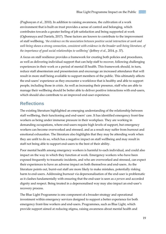(Poghosyan *et al.*, 2010). In addition to raising awareness, the cultivation of a work environment that is built on trust provides a sense of control and belonging, which contributes towards a greater feeling of job satisfaction and being supported at work (Ogbonnaya and Daniels, 2017). These factors are known to contribute to the improvement of staff wellbeing, *'the evidence on the association between positive social interaction at work and well-being shows a strong connection, consistent with evidence in the broader well-being literature, of the importance of good social relationships to wellbeing'* (Jeffrey *et al.*, 2014, p. 37).

A focus on staff resilience provides a framework for creating both policies and procedures, as well as delivering individual support that can help staff to recover, following challenging experiences in their work or a period of mental ill health. This framework should, in turn, reduce staff absenteeism and presenteeism and encourage an increased attendance that will result in more staff being available to support members of the public. This ultimately affects the end-users' experience as they encounter a workforce that is healthy and able to support people, including those in crisis. As well as increasing their presence, staff who are able to manage their wellbeing should be better able to deliver positive interactions with end-users, which should also contribute to an improved end-user experience.

#### <span id="page-18-0"></span>**Reflections**

The existing literature highlighted an emerging understanding of the relationship between staff wellbeing, their functioning and end-users' care. It has identified emergency front-line workers as being under immense pressure in their workplace. They are working in demanding occupations, where end-users require high levels of support, but emergency workers can become overworked and stressed, and as a result may suffer from burnout and emotional exhaustion. The literature also highlights that they may be attending work when they are unfit to do so, which has a negative impact on staff wellbeing and may result in staff not being able to support end-users to the best of their ability.

Poor mental health among emergency workers is harmful to each individual, and could also impact on the way in which they function at work. Emergency workers who have been exposed frequently to traumatic incidents, and who are overworked and stressed, can expect their experiences to have an adverse impact on both themselves and end-users. As the literature points out, burnt-out staff are more likely to make mistakes, potentially risking harm to end-users. Addressing burnout via depersonalisation of the end-user is problematic as it clashes fundamentally with ensuring that the end-user is seen as *a person* and accorded dignity and respect. Being treated in a depersonalised way may also impact an end-user's recovery process.

The Blue Light Programme is one component of a broader strategy and operational investment within emergency services designed to support a better experience for both emergency front-line workers and end-users. Programmes, such as Blue Light, which provide support aimed at reducing stigma, raising awareness about mental health and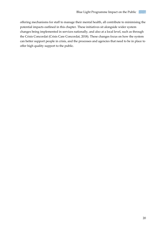i sa se

offering mechanisms for staff to manage their mental health, all contribute to minimising the potential impacts outlined in this chapter. These initiatives sit alongside wider system changes being implemented in services nationally, and also at a local level, such as through the Crisis Concordat (Crisis Care Concordat, 2018). These changes focus on how the system can better support people in crisis, and the processes and agencies that need to be in place to offer high quality support to the public.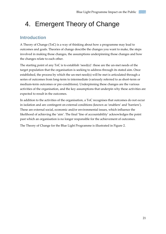## <span id="page-20-0"></span>4. Emergent Theory of Change

#### <span id="page-20-1"></span>**Introduction**

A Theory of Change (ToC) is a way of thinking about how a programme may lead to outcomes and goals. Theories of change describe the changes you want to make, the steps involved in making those changes, the assumptions underpinning those changes and how the changes relate to each other.

The starting point of any ToC is to establish 'need(s)': these are the un-met needs of the target population that the organisation is seeking to address through its stated aim. Once established, the process by which the un-met need(s) will be met is articulated through a series of outcomes from long-term to intermediate (variously referred to as short-term or medium-term outcomes or pre-conditions). Underpinning these changes are the various activities of the organisation, and the key assumptions that underpin why these activities are expected to result in the outcomes.

In addition to the activities of the organisation, a ToC recognises that outcomes do not occur in isolation and are contingent on external conditions (known as 'enablers' and 'barriers'). These are external social, economic and/or environmental issues, which influence the likelihood of achieving the 'aim'. The final 'line of accountability' acknowledges the point past which an organisation is no longer responsible for the achievement of outcomes.

The Theory of Change for the Blue Light Programme is illustrated in Figure 2.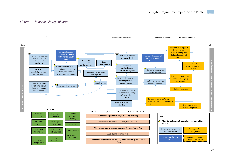#### *Figure 2: Theory of Change diagram*

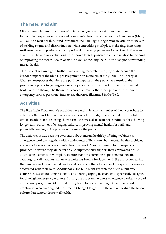#### <span id="page-22-0"></span>**The need and aim**

Mind's research found that nine out of ten emergency service staff and volunteers in England had experienced stress and poor mental health at some point in their career (Mind, 2016a). As a result of this, Mind introduced the Blue Light Programme in 2015, with the aim of tackling stigma and discrimination, while embedding workplace wellbeing, increasing resilience, providing advice and support and improving pathways to services. In the years since then, the annual evaluations have shown largely positive results in relation to the aims of improving the mental health of staff, as well as tackling the culture of stigma surrounding mental health.

This piece of research goes further than existing research into trying to determine the broader impact of the Blue Light Programme on members of the public. The Theory of Change presupposes that there are positive impacts on the public, as a result of the programme providing emergency service personnel with support for their own mental health and wellbeing. The theoretical consequences for the wider public with whom the emergency service personnel interact are therefore illustrated in the ToC.

#### <span id="page-22-1"></span>**Activities**

The Blue Light Programme's activities have multiple aims; a number of them contribute to achieving the short-term outcomes of increasing knowledge about mental health, while others, in addition to realising short-term outcomes, also create the conditions for achieving longer-term outcomes of changing culture, improving mental health for staff, and potentially leading to the provision of care for the public.

The activities include raising awareness about mental health by offering webinars to emergency workers, together with a wide range of literature about mental health problems and ways to look after one's mental health at work. Specific training for managers is provided to ensure they are better able to supervise and support their employees, while addressing elements of workplace culture that can contribute to poor mental health. Training for call handlers and new recruits has been introduced, with the aim of increasing their understanding of mental health and preparing them for some of the specific pressures associated with their roles. Additionally, the Blue Light Programme offers a four-week course focused on building resilience and sharing coping mechanisms, specifically designed for blue light emergency workers. Finally, the programme offers emergency workers a broad anti-stigma programme (delivered through a network of Blue Light Champions and employers, who have signed the Time to Change Pledge) with the aim of tackling the taboo culture that surrounds mental health.

23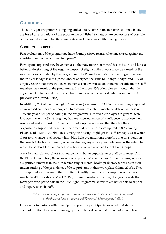#### <span id="page-23-0"></span>**Outcomes**

The Blue Light Programme is ongoing and, as such, some of the outcomes outlined below are based on evaluations of the programme published to date, or are perceptions of possible outcomes, taken from the literature review and interviews with blue light staff.

#### Short-term outcomes

Past evaluations of the programme have found positive results when measured against the short-term outcomes outlined in Figure 2.

Participants reported they have increased their awareness of mental health issues and have a better understanding of the negative impact of stigma in their workplace, as a result of the interventions provided by the programme. The Phase 1 evaluation of the programme found that 92% of Pledge leaders (those who have signed the Time to Change Pledge) and 31% of employees felt that there had been an increase in awareness about mental health among staff members, as a result of the programme. Furthermore, 45% of employees thought that the stigma related to mental health and discrimination had decreased, when compared to the previous year (Mind, 2016b).

In addition, 61% of the Blue Light Champions (compared to 43% in the pre-survey) reported an increased confidence among staff to communicate about mental health: an increase of 18% one year after participating in the programme. However, employees in general were less positive, with 46% stating they had experienced increased confidence to disclose their needs and seek support. Just over a third of employees agreed that they felt their organisation supported them with their mental health needs, compared to 83% among Pledge leads (Mind, 2016b). These emerging findings highlight the different speeds at which short-term change is achieved within blue light organisations; therefore one consideration that needs to be borne in mind, when evaluating any subsequent outcomes, is the extent to which these short-term outcomes have been achieved across different staff groups.

A further, anticipated, short-term outcome is, 'better supervision of staff by managers'. In the Phase 1 evaluation, the managers who participated in the face-to-face training, reported a significant increase in their understanding of mental health problems, as well as in their understanding of the prevalence of these problems in their workplace (Mind, 2016b). They also reported an increase in their ability to identify the signs and symptoms of common mental health conditions (Mind, 2016b). These immediate, positive, changes indicate that managers who participate in the Blue Light Programme activities are better able to support and supervise their staff.

> *"There are so many people with issues and they can't talk about them. [We] need to think about how to supervise differently." [Participant, Police]*

However, discussions with Blue Light Programme participants revealed that staff still encounter difficulties around having open and honest conversations about mental health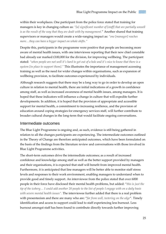within their workplaces. One participant from the police force stated that training for managers is key in changing culture as: *"[a] significant number of [staff] that are partially unwell is as the result of the way that they are dealt with by management.*" Another shared that training supervisors or managers would create a wide-ranging impact as: *"one [manager] reaches more…they can have a bigger impact on whole shifts."*

Despite this, participants in the programme were positive that people are becoming more aware of mental health issues, with one interviewee reporting that their new chief constable had already ear marked £100,000 for the division, for improving wellbeing. The participant stated: *"when people are not well it's hard to get out of a hole and it's nice to know that there is a system [in place to support them]."* This illustrates the importance of management accessing training as well as the need for wider changes within organisations, such as expansion of wellbeing provision, to facilitate outcomes experienced by individuals.

Although research suggests that there may be a long way to go in order to develop an open culture in relation to mental health, there are initial indications of a growth in confidence among staff, as well as increased awareness of mental health issues, among managers. It is hoped that these indicators will influence a change in culture that will expedite further developments. In addition, it is hoped that the provision of appropriate and accessible support for mental health, a commitment to increasing resilience, and the provision of education around coping strategies for emergency services staff, will further contribute to broader cultural changes in the long-term that would facilitate ongoing conversations.

#### Intermediate outcomes

The Blue Light Programme is ongoing and, as such, evidence is still being gathered in relation to all the changes participants are experiencing. The intermediate outcomes outlined in the Theory of Change are therefore anticipated outcomes, which have been formulated on the basis of the findings from the literature review and conversations with those involved in Blue Light Programme activities.

The short-term outcomes drive the intermediate outcomes; as a result of increased confidence and knowledge among staff as well as the better support provided by managers and their organisations, it is expected that staff will benefit from improved mental health. Furthermore, it is anticipated that line managers will be better able to monitor staff stress levels and responses to their work environment, enabling managers to understand when to provide good and timely support. An interviewee from the police stated that over 6000 people in their force have disclosed their mental health problems, but added: "*this is just the tip of the iceberg… I could add another 20 people to the list of people I engage with on a daily basis with severe mental health issues".* The interviewee further added that there is a real problem with presenteeism and there are many who are: "*far from well, teetering on the edge*". Timely identification and access to support could lead to staff experiencing less burnout. Less burnout amongst staff has been found to contribute directly towards further improving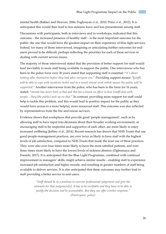mental health (Bakker and Heuven, 2006; Poghosyan *et al.*, 2010; Prinz *et al.*, 2012). It is anticipated this would then lead to less sickness leave and less presenteeism among staff.

Discussions with participants, both in interviews and in workshops, indicated that this outcome – the increased presence of healthy staff – is the most important outcome for the public: the one that would have the greatest impact on their experience of blue light services. Indeed, for many of those interviewed, imagining or articulating further outcomes for endusers proved to be difficult; perhaps reflecting the priorities for each of these services in dealing with current service issues.

The majority of those interviewed stated that the provision of better support for staff would lead inevitably to more staff being available to support the public. One interviewee who has been in the police force over 30 years stated that supporting staff is essential: "*it's about looking after themselves before they look after everyone else.*" Providing support means: "[*staff] will be able to cope with incidents better and as a result attend work which means the public will be supported.*" Another interviewee from the police, who has been in the force for 16 years, stated: "*morale has never been so bad and this has a knock on effect in how [staff] deal with people…they [the public] pick up on that.*" In contrast, providing more support for staff could help to tackle this problem, and this would lead to positive impact for the public as they would have access to a more helpful, more resourced staff. This outcome was also reflected by representatives from the fire and rescue services.

Evidence shows that workplaces that provide good 'people management', such as by allowing staff to have input into decisions about their broader working environment, or encouraging staff to be respectful and supportive of each other, are more likely to enjoy increased wellbeing (Jeffrey *et al.*, 2014). Recent research has shown that NHS Trusts that use good people-management practices, are over twice as likely to have staff with the highest levels of job satisfaction, compared to NHS Trusts that made the least use of these practices. They were also over four times more likely to have the most satisfied patients, and over three times more likely to have the lowest levels of sickness absence (Ogbonnaya and Daniels, 2017). It is anticipated that the Blue Light Programme, combined with continual improvement in managers' skills, might achieve similar results – enabling staff to experience increased job satisfaction and higher morale, and resulting in greater numbers of staff being available to deliver services. It is also anticipated that these outcomes may further lead to staff providing a better service to end-users.

> *"Staff should be in a position to exercise professional judgement and give the rationale for that judgement[s]. It has to be verifiable and they have to be able to justify the decision and be accountable. But they can offer a better response." [Participant, police]*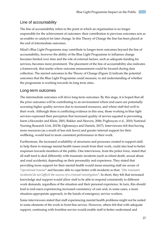#### Line of accountability

The line of accountability refers to the point at which an organisation is no longer responsible for the achievement of outcomes: their contribution to previous outcomes acts as an enabler or catalyst for later change. In this Theory of Change the line has been placed at the end of intermediate outcomes.

Mind's Blue Light Programme may contribute to longer-term outcomes beyond the line of accountability, however the ability of the Blue Light Programme to influence change becomes limited over time and the role of external factors, such as adequate funding for services, becomes more prominent. The placement of the line of accountability also indicates a framework, that marks where outcome measurement could be focused during data collection. The starred outcomes in the Theory of Change (Figure 2) indicate the potential outcomes that the Blue Light Programme could measure, to aid understanding of whether the programme is working towards its long term aims.

#### Long-term outcomes

The intermediate outcomes will drive long-term outcomes. By this stage, it is hoped that all the prior outcomes will be contributing to an environment where end-users are potentially accessing higher quality services due to increased resources, and where staff feel well in their work. Although there is conflicting evidence in this area, those working in blue light services expressed their perception that increased quality of service equated to preventing harm (Alexander and Klein, 2001; Bakker and Heuven, 2006; Poghosyan *et al.*, 2010; National Nursing Research Unit, 2013b; Ogbonnaya and Daniels, 2017). Interviewees felt that having more resources (as a result of less sick leave) and greater internal support for their wellbeing, would lead to more consistent performance in their work.

Furthermore, the increased availability of structures and processes created to support staff, to help them to manage mental health issues result from their work, could also lead to better responses towards members of the public. One interviewee, from the police force, stated that all staff tend to deal differently with traumatic incidents (such as infant death, sexual abuse and road accidents), depending on their personality and experience. They stated that providing more support for their mental health would mean ensuring staff are aware of "*operational trauma*" and become able to cope better with incidents so that: *"[the traumatic incidents] do not [affect] the success of a criminal investigation*". In short, they felt that increased knowledge and support would allow staff to be able to respond consistently to different work demands, regardless of the situation and their personal experience. In turn, this should lead to end-users experiencing increased consistency of care and, in some cases, a more situation-appropriate approach, in the hands of emergency service workers.

Some interviewees stated that staff experiencing mental health problems might not be suited to some elements of the work in front-line service. However, others felt that with adequate support, continuing with frontline service would enable staff to better understand and

27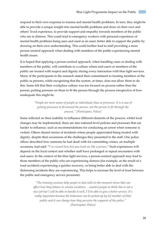respond to their own response to trauma and mental health problems. In turn, they might be able to provide a unique insight into mental health problems and draw on their own and others' lived experience, to provide support and empathy towards members of the public who are in distress. This could lead to emergency workers with personal experience of mental health problems being seen and used as an asset, better able to support the public by drawing on their own understanding. This could further lead to staff providing a more person-centred approach when dealing with members of the public experiencing mental health issues.

It is hoped that applying a person-centred approach, when handling cases or dealing with members of the public, will contribute to a culture where end-users or members of the public are treated with respect and dignity during every interaction with blue light services. Many of the participants in the research stated their commitment to treating members of the public as persons, while recognising that the system, at times, does not allow them to do this. Some felt that their workplace culture was too focused on process rather than the person; putting pressure on them to fit the person through the process irrespective of how inadequate this might be.

> *"People are more aware of people as individuals than as processes. It is a case of getting processes to fit around the person, not the person to fit through the process." [Participant, Police]*

Some reflected on their inability to influence different elements of the process: whilst local changes may be implemented, there are also national-level policies and processes that are harder to influence, such as recommendations for conducting an arrest when someone is violent. Others shared stories of incidents where people appreciated being treated with dignity, despite their awareness of the challenges they presented to the staff. One police officer described how someone he had dealt with for committing crimes, on multiple occasions, had said: "*I've ruined lives but you treat me like a person.*" Such experiences will depend on the local context and whether staff have prolonged or repeat encounters with end-users. In the context of the blue light services, a person-centred approach may lead to those members of the public who are experiencing distress (for example, as the result of a road accident) experiencing a quicker recovery, or being better able to deal with the distressing incidents they are experiencing. This helps to increase the level of trust between the public and emergency service personnel.

> *"The training sessions help people to deal with in-the-moment stress that can affect how they behave in certain incidents… want[s] people to think this is not a nice job but I will be able to handle it well, I'll be able to give a better service. It's really important because the behaviour can be picked up by [a] member of [the] public and it can change how they perceive the supports of the police." [Participant, Police]*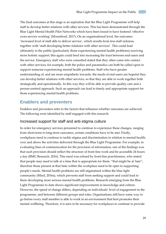The final outcomes at this stage is an aspiration that the Blue Light Programme will help staff to develop better relations with other services. This has been demonstrated through the Blue Light Mental Health Pilot Networks which have been found to have fostered 'effective cross service working' (Mountford, 2017). On an organisational level, the outcomes 'increased level of staff able to deliver service', which results from less staff sickness, together with 'staff developing better relations with other services'. This could lead ultimately to the public (particularly those experiencing mental health problems) receiving more holistic support; this again could feed into increasing the trust between end-users and the service. Emergency staff who were consulted stated that they often come into contact with other services; for example, both the police and paramedics can both be called upon to support someone experiencing mental health problems. Staff who have greater understanding of, and are more empathetic towards, the needs of end-users are hopeful they can develop better relations with other services, so that they are able to work together both strategically and operationally. In this way they will be able to provide quality care and a person-centred approach. Such an approach can lead to timely and appropriate support for those experiencing mental health problems.

#### <span id="page-28-0"></span>**Enablers and preventers**

Enablers and preventers refer to the factors that influence whether outcomes are achieved. The following were identified by staff engaged with this research.

#### Increased support for staff and anti-stigma culture

In order for emergency services personnel to continue to experience these changes, ranging from short-term to long-term outcomes, certain conditions have to be met. Firstly, workplaces need to continue to tackle stigma and discrimination in relation to mental health, over and above the activities delivered through the Blue Light Programme. For example, in evaluating lines of communication for the provision of information, one of the findings was that such provision should reflect the structure of front-line work and be accessible 24 hours a day (BMG Research, 2016). This need was echoed by front-line practitioners, who stated that people may need to talk at a time that is appropriate for them: "that might be at 3am"; therefore those present at that time within the workplace need to be open to supporting people's needs. Mental health problems are still stigmatised within the blue light community (Mind, 2016a), which prevents staff from seeking support and could lead to them developing more serious mental health problems. Research emerging from the Blue Light Programme to date shows significant improvements in knowledge and culture. However, the speed of change differs, depending on individuals' level of engagement in the programme, and between different groups and roles. Organisations still have some way to go before every staff member is able to work in an environment that best promotes their mental wellbeing. Therefore, it is seen to be necessary for workplaces to continue to provide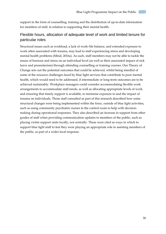support in the form of counselling, training and the distribution of up-to-date information for members of staff, in relation to supporting their mental health.

#### Flexible hours, allocation of adequate level of work and limited tenure for particular roles

Structural issues such as workload, a lack of work–life balance, and extended exposure to work often associated with trauma, may lead to staff experiencing stress and developing mental health problems (Mind, 2016a). As such, staff members may not be able to tackle the issues of burnout and stress on an individual level (as well as their associated impact of sick leave and presenteeism) through attending counselling or training courses. Our Theory of Change sets out the potential outcomes that could be achieved, whilst being mindful of some of the resource challenges faced by blue light services that contribute to poor mental health, which would need to be addressed, if intermediate or long-term outcomes are to be achieved sustainably. Workplace managers could consider accommodating flexible work arrangements to accommodate staff needs, as well as allocating appropriate levels of work and ensuring that timely support is available, to minimise exposure to and the impact of trauma on individuals. Those staff consulted as part of this research described how some structural changes were being implemented within the force, outside of blue light activities, such as using community psychiatric nurses in the control room to help with decisionmaking during operational responses. They also described an increase in support from other grades of staff when providing communication updates to members of the public, such as placing victim support units locally, not centrally. These were cited as ways in which to support blue light staff to feel they were playing an appropriate role in assisting members of the public, as part of a wider local response.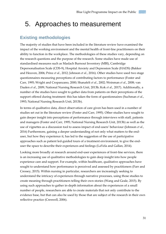### <span id="page-30-0"></span>5. Approaches to measurement

#### <span id="page-30-1"></span>**Existing methodologies**

The majority of studies that have been included in the literature review have examined the impact of the working environment and the mental health of front-line practitioners on their ability to function in the workplace. The methodologies of these studies vary, depending on the research questions and the purpose of the research. Some studies have made use of standardised measures such as Maslach Burnout Inventory (MBI), Cambridge Depersonalisation Scale (CDS-9), Hospital Anxiety and Depression Scale (HADS) (Bakker and Heuven, 2006; Prinz *et al.*, 2012; Johnson *et al.*, 2016). Other studies have used two stage questionnaires measuring perceptions of contributing factors to performance (Foster and Carr, 1995; Wright and Cropanzano, 2000; Shanafelt *et al.*, 2002; Weinman *et al.*, 2008; van Daalen *et al.*, 2009; National Nursing Research Unit, 2013b; Kok *et al.*, 2017). Additionally, a number of the studies have sought to gather data from patients on their perceptions of the support offered during treatment: this has taken the form of questionnaires (Suchman *et al.*, 1993; National Nursing Research Unit, 2013b).

In terms of qualitative data, direct observation of care given has been used in a number of studies set out in the literature review (Foster and Carr, 1995). Other studies have sought to gain deeper insight into perceptions of performance through interviews with staff, patients and managers (Foster and Carr, 1995; National Nursing Research Unit, 2013b) as well as the use of vignettes as a discussion tool to assess impact of end-users' behaviour (Johnson *et al.*, 2016) Furthermore, gaining a deeper understanding of not only what matters to the enduser, but how they experience it, has led to the suggestion of the use of participative approaches such as patient led-guided tours of a treatment environment, to give the enduser the space to describe their experiences and feelings (LaVela and Gallan, 2014).

Looking more broadly at research around end-user experiences of front-line services, there is an increasing use of qualitative methodologies to gain deep insight into how people experience care and support. For example, within healthcare, qualitative approaches have sought to understand how performance is perceived and assessed by practitioners (Farr and Cressey, 2015). Within nursing in particular, researchers are increasingly seeking to understand the intricacy of experiences through narrative processes, using those studies to create meaning through practitioners telling their own stories (Wang and Geale, 2015). By using such approaches to gather in-depth information about the experiences of a small number of people, researchers are able to create materials that not only contribute to the evidence base, but that can also be used by those that are subject of the research in their own reflective practice (Creswell, 2006).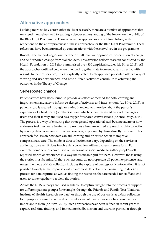#### <span id="page-31-0"></span>**Alternative approaches**

Looking more widely across other fields of research, there are a number of approaches that may lend themselves well to gaining a deeper understanding of the impact on the public of the Blue Light Programme. These alternative approaches are outlined below, with reflections on the appropriateness of these approaches for the Blue Light Programme. These reflections have been informed by conversations with those involved in the programme.

Broadly, the methodologies outlined below fall into two approaches: observation of change; and self-reported change from stakeholders. This division reflects research conducted by the Health Foundation in 2013 that summarised over 300 empirical studies (de Silva, 2013). All the approaches outlined below are intended to gather data from end-users directly, with regards to their experience, unless explicitly stated. Each approach presented offers a way of viewing end-user experiences, and how different activities contribute to achieving the outcomes in the Theory of Change.

#### Self-reported change

Patient stories have been found to provide an effective method for both learning and improvement and also to inform co-design of activities and interventions (de Silva, 2013). A patient story is created through an in-depth review or interview about the person's experience of a healthcare (or other) service, which is then reviewed by staff, managers, users and their family and used as a trigger for shared conversations (Science Daily, 2014). The process is a way of ensuring that strategic and operational staff become aware of how end-users feel they were treated and provides a human-centred approach to data collection, by rooting data collection in direct experiences, expressed by those directly involved. This approach focuses on how data can aid learning and prioritise action to improve compassionate care. The mode of data collection can vary, depending on the service or audience; however, it does involve data collection with end-users in some form. For example, some services have used online forms or social media to gather people's selfreported stories of experience in a way that is meaningful for them. However, those using the stories must be mindful that such accounts do not represent all patient experience, and unless the mode of data collection includes the capture of demographic information, it is not possible to analyse the responses within a context. It is also time-consuming to design a process for data capture, as well as finding the resources that are needed for staff and endusers to come together to review the stories.

Across the NHS, surveys are used regularly, to capture insight into the process of support for different patient groups; for example, through the Friends and Family Test (National Institute of Health Research, no date) or through the use of postcards as a data collection tool: people are asked to write about what aspect of their experience has been the most important to them (de Silva, 2013). Such approaches have been refined in recent years to capture real-time findings and immediate feedback from end-users, in particular through

32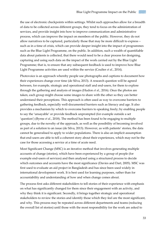the use of electronic checkpoints within settings. Whilst such approaches allow for a breadth of data to be collected across different groups, they tend to focus on the administration of services, and provide insight into how to improve communication and administrative process, which can improve the impact on members of the public. However, they do not allow narratives to be captured, particularly those that may be more difficult to express – such as in a time of crisis, which can provide deeper insight into the impact of programmes such as the Blue Light Programme, on the public. In addition, such a wealth of quantifiable data about patients is collected, that there would need to be a clear process for designing, capturing and using such data on the impact of the work carried out by the Blue Light Programme; that is, to ensure that any subsequent feedback is used to improve how Blue Light Programme activities are used within the service (Coulter *et al.*, 2014).

Photovoice is an approach whereby people use photographs and captions to document how their experiences change over time (de Silva, 2013). A research question will be agreed between, for example, strategic and operational staff and end-users, for them to explore through the gathering and analysis of images (Hudon *et al.*, 2016). Once the photos are taken, each group might choose some images to share with the other so they can better understand their perceptions. This approach is often used as way to overcome barriers to gathering feedback, especially well-documented barriers such as literacy and age. It also provides a mechanism by which to overcome barriers to speaking freely; by enabling people to say the 'unsayable' or provide feedback unprompted (for example outside a set 'question') (Byrne *et al.*, 2018). The method has been found to be engaging to multiple groups, due to the novelty of the approach, as well as the possibility of becoming involved as part of a solution to an issue (de Silva, 2013). However, as with patients' stories, the data cannot be generalised to apply to wider populations. There is also an implicit assumption that end-users are able to tell a coherent story about their experiences, which may not be the case for those accessing a service at a time of acute need.

Most Significant Change (MSC) is an iterative method that involves generating multiple accounts of change (stories), which have been experienced by a group of people (for example end-users of services) and then analysed using a structured process to decide which outcomes and accounts have the most significance (Davies and Dart, 2005). MSC was first used to evaluate an aid project in Bangladesh and has since been used widely in international development work. It is best used for learning purposes, rather than for accountability and understanding of how and when change comes about.

The process first asks different stakeholders to tell stories of their experience with emphasis on what has significantly changed for them since their engagement with an activity, and why they think it is significant. Secondly, it brings together strategic and operational stakeholders to review the stories and identify those which they feel are the most significant, and why. This process may be repeated across different departments and teams (reducing the overall list of stories) until those with the most responsibility for the work are asked to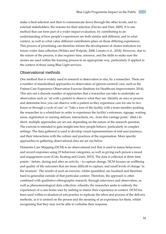make a final selection and then to communicate down through the other levels, and to external stakeholders, the reasons for their selection (Davies and Dart, 2005). It is one method that can form part of a wider impact evaluation, by contributing to an understanding of how people's experiences are both similar and different, and in what context, as well as what value different contributors place on those differing experiences. This process of prioritising can therefore inform the development of clearer indicators for future wider data collection (Wilder and Walpole, 2008; Limato *et al.*, 2018). However, due to the nature of the process, it also requires time, resource, and the skills to make sure the stories are used within the learning process in an appropriate way, particularly if applied in the context of those using Blue Light services.

#### Observational methods

One method that is widely used in research is observation in situ, by a researcher. There are a number of standardised approaches to observation of (person-centred) care, such as the Patient Care Experience Observation Exercise (Institute for Healthcare Improvement, 2014). This sets out a discrete number of approaches that a researcher can take to undertake an observation such as: 'sit with a patient to observe what they see. Identify an area or process and determine how you can observe with a patient as they experience care for one to two hours or through a cycle of care' or 'Take a tour of the facility with a team member pushing the researcher in a wheelchair in order to experience the facility's entrances, signage, waiting areas, registration or nursing stations, interactions, etc., from this vantage point.' (ibid.) In short, multiple approaches are set out, depending on the nature of the research question. The exercise is intended to gain insight into how people behave, particularly in complex settings. The data gathered is used to develop visual representations of end-user journeys, and their interactions with the culture and practices of the organisation. More specific approaches to gathering observational data are set out below.

Dementia Care Mapping (DCM) is an observational tool that is used to assess behaviours and record responses using 23 behaviour categories, as well as giving each person a mood and engagement score (Cole, Keating and Grant, 2015). The data is collected at three time points – before, during and after an activity – to capture change. DCM focuses on wellbeing and quality of life outcomes that are more difficult to capture, and small levels of change 'in the moment'. The results of such an exercise, whilst quantified, are localised and therefore hard to generalise outside of that particular context. Therefore, the approach is often combined with qualitative ethnographic research, through interviews and observation, as well as phenomenological data collection: whereby the researcher seeks to embody the experiences of a care-home user by seeking to mimic their experience in context. DCM has been used within evaluation of arts practice to replicate the ethos and process of the delivery methods, as it is centred on the person and the meaning of an experience for them, whilst recognising that they may not be able to verbalise their response.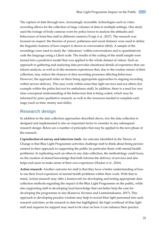The capture of data through new, increasingly accessible, technologies such as video recording allows for the collection of large volumes of data in multiple settings. One study used the footage of body cameras worn by police forces to analyse the attitudes and behaviours of front-line staff in different contexts (Voigt *et al.*, 2017). The research was focused on respect: the theories of power, politeness and social distance were used to define the linguistic features of how respect is shown in conversation (ibid). A sample of the recordings were used to study the 'utterances' within conversations and to quantitatively code the language using a Likert scale. The results of the coding of the small sample were turned into a predictive model that was applied to the whole dataset of videos. Such an approach to gathering and analysing data provides situational details of experience that can inform analysis, as well as in-the-moment experiences that, due to the routine nature of their collection, may reduce the chances of data recording processes affecting behaviour. However, the approach relies on there being appropriate approaches to ongoing recording within service delivery. This may work within some blue light services and not others (for example within the police but not for ambulance staff). In addition, there is a need for very clear conceptual understanding of the behaviour that is being coded, which may be informed by prior qualitative research, as well as the resources needed to complete each stage (such as time, money and skills).

#### <span id="page-34-0"></span>**Research design**

In addition to the data collection approaches described above, *how* the data collection is designed and implemented is also an important factor to consider in any subsequent research design. Below are a number of principles that may be applied to the next phase of the research.

**Coproduction of survey and interview tools**: An outcome identified in the Theory of Change is that Blue Light Programme activities challenge staff to think about being personcentred in their approach to supporting the public (in particular those with mental health problems). In replicating such an ethos in any data collection, the methodology could focus on the creation of shared knowledge that both informs the delivery of services and also helps end-users to make sense of their own experience (Hudon *et al.*, 2016).

**Action research**: Another outcome for staff is that they have a better understanding of how to use their lived experience of mental health problems within their work. With that in mind, Action research may offer a framework for developing and testing appropriate data collection methods regarding the impact of the Blue Light Programme on the public, while also supporting staff in developing local knowledge that can better help the case for developing the programme in situ (Kanerva, Kivinen and Lammintakanen, 2017). This approach to developing practice wisdom may help to recruit blue light personnel into such research activities; as the research to date has highlighted, the high workload of blue light staff and requests for support may need to be clear on how it can enhance their practice.

35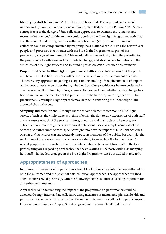**Identifying staff behaviours**: Actor–Network Theory (ANT) can provide a means of understanding complex interventions within a system (Bilodeau and Potvin, 2018). Such a concept focuses the design of data collection approaches to examine the 'dynamic and recursive interactions' within an intervention, such as the Blue Light Programme activities and the context of delivery, such as within a police force (ibid). Therefore, any data collection could be complemented by mapping the situational context, and the networks of people and processes that interact with the Blue Light Programme, as part of the preparatory stages of any research. This would allow deeper insight into the potential for the programme to influence and contribute to change, and show where limitations in the structures of blue light services and in Mind's provision, can affect such achievements.

**Proportionality to the Blue Light Programme activities**: Most interactions that the public will have with blue light services will be short term, and may be in a moment of crisis. Therefore, any approach to gaining a deeper understanding of the phenomenon of impact on the public needs to consider firstly, whether front-line practitioners have experienced a change as a result of Blue Light Programme activities, and then whether such a change has had an impact on the member of the public within the time they were engaged with the practitioner. A multiple-stage approach may help with enhancing the knowledge of the assumed chain of events.

**Sampling and recruitment**: Although there are some elements common to Blue Light services (such as, they help citizens in time of crisis) the day-to-day experiences of both staff and end-users of each of the services differs, in nature and in structure. Therefore, any subsequent approach to gathering empirical data should seek to sample across all of the services, to gather more service-specific insight into how the impact of blue light activities on staff and structures can subsequently impact on members of the public. For example, the next phase of the research may consider a case study from each of the four services. To recruit people into any such evaluation, guidance should be sought from within the local participating area regarding approaches that have worked in the past, while also mapping how staff who are less engaged in the Blue Light Programme can be included in research.

#### <span id="page-35-0"></span>**Appropriateness of approaches**

In follow-up interviews with participants from blue light services, interviewees reflected on both the outcomes and the potential data-collection approaches. The approaches outlined above were received positively, with the following themes identified as being important for any subsequent research.

Approaches to understanding the impact of the programme on performance could be assessed through internal data collection, using measures of mental and physical health and performance standards. This focused on the earlier outcomes for staff, not on public impact. However, as outlined in Chapter 3, staff engaged in this research felt that the most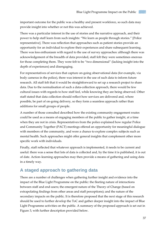important outcome for the public was a healthy and present workforce, so such data may provide insight into whether or not this was achieved.

There was a particular interest in the use of stories and the narrative approach, and their power to help staff learn from such insights: "We learn as people through stories." [Police representative]. There was reflection that approaches such as patient stories provide an opportunity for an individual to explore their experiences and share subsequent learning. There was less enthusiasm with regard to the use of survey approaches: although there was acknowledgement of the breadth of data provided, staff felt they were sometimes onerous for those completing them. They were felt to be "two dimensional" (lacking insight into the depth of experiences) and disengaging.

For representatives of services that capture on-going observational data (for example, via body cameras in the police), there was interest in the use of such data to inform future research. All staff felt that it would be straightforward to set up a research project to share data. Due to the normalisation of such a data-collection approach, there would be few cultural issues with regards to how staff feel, while knowing they are being observed. Other staff stated that data collection should reflect how services are delivered and, where possible, be part of on-going delivery, so they form a seamless approach rather than additions for small groups of people.

A number of those consulted described how the existing community engagement routes could be used as a means of engaging members of the public to gather insight, at a time when they are not in crisis. Representatives from the police explained how regular Police and Community Together (PACT) meetings offered an opportunity for meaningful dialogue with members of the community, and were a chance to explore complex subjects such as mental health. Such approaches might offer general insights that complement other more specific work with individuals.

Finally, staff reflected that whatever approach is implemented, it needs to be current and useful: there was a sense that lots of data is collected and, by the time it is published, it is out of date. Action–learning approaches may then provide a means of gathering and using data in a timely way.

#### <span id="page-36-0"></span>**A staged approach to gathering data**

There are a number of challenges when gathering further insight and evidence into the impact of the Blue Light Programme on the public: the fleeting nature of interactions between staff and end-users; the emergent nature of the Theory of Change (based on extrapolating findings from other areas and staff perceptions); and the nature of the secondary impacts on the public. It is therefore proposed that the next stage of this research should be used to further develop the ToC and gather deeper insight into the impact of Blue Light Programme activities on the public. A summary of the proposed approach is set out in Figure 3, with further description provided below.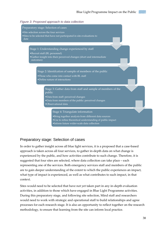



#### Preparatory stage: Selection of cases

In order to gather insight across all blue light services, it is a proposed that a case-based approach is taken across all four services, to gather in-depth data on what change is experienced by the public, and how activities contribute to such change. Therefore, it is suggested that four sites are selected, where data collection can take place – each representing one of the services. Both emergency services staff and members of the public are to gain deeper understanding of the extent to which the public experiences an impact, what type of impact is experienced, as well as what contributes to such impact, in that context.

Sites would need to be selected that have not yet taken part in any in-depth evaluation activities, in addition to those which have engaged in Blue Light Programme activities. During this preparatory stage, and following site selection, Mind staff and researchers would need to work with strategic and operational staff to build relationships and agree processes for each research stage. It is also an opportunity to reflect together on the research methodology, to ensure that learning from the site can inform local practice.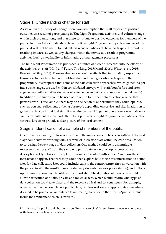#### Stage 1: Understanding change for staff

As set out in the Theory of Change, there is an assumption that staff experience positive outcomes as a result of participating in Blue Light Programme activities and culture change within their organisations, and that these contribute to positive outcomes for members of the public. In order to best understand how the Blue Light Programme impacts members of the public, it will first be useful to understand what activities staff have participated in, and the resulting impacts, as well as any changes within the service as a result of programme activities (such as availability of information, or management processes).

The Blue Light Programme has published a number of pieces of research into the effects of the activities on staff (Mind and Future Thinking, 2015; Mind, 2016b; Wilson *et al.*, 2016; Research Ability, 2017). These evaluations set out the effects that information, support and learning activities have had on front-line staff and managers who participate in the programme. It is proposed that some of the data collection approaches, which gather insight into such changes, are used within consolidated surveys with staff, both before and after engagement with activities (in terms of knowledge and skills, and reported mental health). In addition, the survey could be used as an opt-in to further data collection around that person's work. For example, there may be a selection of opportunities they could opt into, such as personal reflections, or being observed; depending on service and site. In addition to gathering data on individual staff, it may also be useful to gather operational-level data on a sample of staff, both before and after taking part in Blue Light Programme activities (such as sickness levels), to provide a clear picture of the local context.

#### Stage 2: Identification of a sample of members of the public

Once an understanding of local activities and the impact on staff has been gathered, the next stage could involve working with a sample of interested staff within the case organisation, to co-design the next stage of data collection. One method could be to ask multiple representatives of staff from the sample to participate in a workshop, to co-produce descriptions of typologies of people who come into contact with service, <sup>2</sup> and how these interactions happen. The workshop could then explore how to use this information to define sites for data collection. Sites could include: calls to the control centre; first conversation with the person in situ; the resulting service delivery (in ambulance or police station); and followup communications from front-line or support staff. The definition of these sites would allow clarification of public, private and mixed spaces, which would inform what type of data collection could take place, and the relevant ethical and consent issues. For example, observation may be possible in a public place, but less welcome or appropriate somewhere deemed to be private: an ambulance team treating someone in the street is 'public' versus inside the ambulance, which is 'private'.

-

<sup>2</sup> In this case, the public could be the person directly 'accessing' the service or someone who comes with them (such as family member).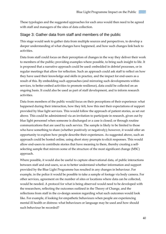These typologies and the suggested approaches for each area would then need to be agreed with staff and managers of the sites of data collection.

#### Stage 3: Gather data from staff and members of the public

This stage would seek to gather data from multiple sources and perspectives, to develop a deeper understanding of what changes have happened, and how such changes link back to activities.

Data from staff could focus on their perception of changes in the way they deliver their work to members of the public; providing examples where possible, to bring such insight to life. It is proposed that a narrative approach could be used: embedded in debrief processes, or in regular meetings that allow for reflection. Such an approach could ask staff to reflect on how they have used their knowledge and skills in practice, and the impact for end-users as a result of this. By embedding such approaches (and mirroring such developments within services, to better embed activities to promote resilience), data could be collected on an ongoing basis. It could also be used as part of staff development, and to inform research activities.

Data from members of the public would focus on their perceptions of their experience: what happened during their interaction, how they felt, how this met their expectations of support provided by blue light services. This would follow the approach of patient stories, as set out above. This could be administered via an invitation to participate in research, given out by blue light personnel when someone is discharged or a case is closed; or through routine communications that are used by each service. The sample is likely to be limited to those who have something to share (whether positively or negatively); however, it would offer an opportunity to explore how people describe their experiences. As suggested above, such an approach could be hosted online, using short story prompts to elicit responses. This would allow end-users to contribute stories that have meaning to them, thereby creating a selfselecting sample that mirrors some of the structure of the most significant change (MSC) approach.

Where possible, it would also be useful to capture observational data, of public interactions between staff and end-users, so as to better understand whether information and support provided by the Blue Light Programme has resulted in any changes in behaviour. For example, in the police it would be possible to take a sample of footage via body camera. For other services, agreement on the number of sites or locations where data can be collected, would be needed. A protocol for what is being observed would need to be developed with the researchers, reflecting the outcomes outlined in the Theory of Change, and the reflections from staff in the co-design session regarding what such outcomes would look like. For example, if looking for empathetic behaviours when people are experiencing mental ill health or distress: what behaviours or language may be used and how should such behaviour be recorded?

40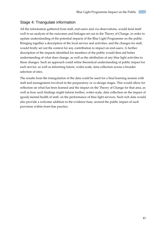#### Stage 4: Triangulate information

All the information gathered from staff, end-users and via observations, would lend itself well to an analysis of the outcomes and linkages set out in the Theory of Change, in order to update understanding of the potential impacts of the Blue Light Programme on the public. Bringing together a description of the local service and activities, and the changes for staff, would firstly set out the context for any contribution to impact on end-users. A further description of the impacts identified for members of the public would then aid better understanding of what does change, as well as the attribution of any blue light activities to these changes. Such an approach could refine theoretical understanding of public impact for each service, as well as informing future, wider-scale, data collection across a broader selection of sites.

The results from the triangulation of the data could be used for a final learning session with staff and management involved in the preparatory or co-design stages. This would allow for reflection on what has been learned and the impact on the Theory of Change for that area, as well as how such findings might inform further, wider-scale, data collection on the impact of (good) mental health of staff, on the performance of blue light services. Such rich data would also provide a welcome addition to the evidence base, around the public impact of such provision within front-line practice.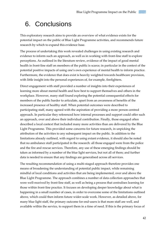## <span id="page-41-0"></span>6. Conclusions

This exploratory research aims to provide an overview of what evidence exists for the potential impact on the public of Blue Light Programme activities, and recommends future research by which to expand this evidence base.

The process of undertaking this work revealed challenges in using existing research and evidence to inform such an approach, as well as in working with front-line staff to explore perceptions. As outlined in the literature review, evidence of the impact of good mental health in front-line staff on members of the public is scarce; in particular in the context of the potential positive impacts of using one's own experience of mental health to inform practice. Furthermore, the evidence that does exist is heavily weighted towards healthcare provision, with little insight into the personal experiences of, for example, firefighters.

Direct engagement with staff provided a number of insights into their experiences of learning more about mental health and how best to support themselves and others in the workplace. However, many staff found exploring the potential consequential effects for members of the public harder to articulate, apart from an awareness of benefits of the increased presence of healthy staff. When potential outcomes were described to participating staff, many agreed with the aspiration of providing a more person-centred approach. In particular they referenced how internal processes and support could offer such an approach, over and above their individual contribution. Finally, those engaged often described a local context that included many more activities than are delivered by the Blue Light Programme. This provided some concerns for future research, in unpicking the attribution of the activities to any subsequent impact on the public. In addition to the limitations already outlined, with regard to using extant evidence, it should also be noted that no ambulance staff participated in the research: all those engaged were from the police and the fire and rescue services. Therefore, any use of these emerging findings should be taken as informed by a number of the blue light services, but not all of them; and further data is needed to ensure that any findings are generalised across all services.

The resulting recommendation of using a multi-staged approach therefore provides one means of broadening the understanding of potential public impact, while remaining mindful of local conditions and activities that are being implemented, over and above the Blue Light Programme. The approach combines a number of data collection approaches that were well-received by front-line staff, as well as being a process that centralises learning for those within front-line practice. It focuses on developing deeper knowledge about what is happening in a small number of cases, in order to overcome some of the limitations outlined above, which could then inform future wider-scale work. However, as detailed above, for many blue light staff, the primary outcome for end-users is that more staff are well, and available within the service, to support them in a time of need. If this is the primary focus of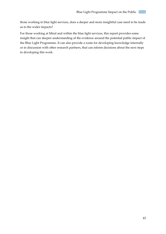those working in blue light services, does a deeper and more insightful case need to be made as to the wider impacts?

For those working at Mind and within the blue light services, this report provides some insight that can deepen understanding of the evidence around the potential public impact of the Blue Light Programme. It can also provide a route for developing knowledge internally or in discussion with other research partners, that can inform decisions about the next steps in developing this work.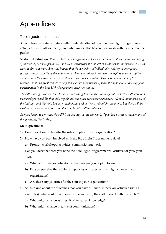## <span id="page-43-0"></span>Appendices

#### Topic guide: Initial calls

**Aims**: These calls aim to gain a better understanding of how the Blue Light Programme's activities affect staff wellbeing, and what impact this has on their work with members of the public.

**Verbal introduction**: *Mind's Blue Light Programme is focused on the mental health and wellbeing of emergency services personnel. As well as evaluating the impact of activities on individuals, we also want to find out more about the impact that the wellbeing of individuals working in emergency services can have on the wider public with whom you interact. We want to explore your perceptions, as those with the closest experience, of what this impact could be. This is an area with very little research, so it is a great chance to help shape an understanding of what the subsequent effects of your participation in the Blue Light Programme activities can be.*

*The call is being recorded; then from that recording I will make summary notes which I will store in a password protected file that only myself and one other researcher can access. We will summarise all of the findings, and that will be shared with Mind and partners. We might use quotes but these will be used with a pseudonym, and any identifiable data will be redacted.*

*Are you happy to continue the call? You can stop at any time and, if you don't want to answer any of the questions, that's okay.*

#### **Main questions:**

- 1) Could you briefly describe the role you play in your organisation?
- 2) How have you been involved with the Blue Light Programme to date?
	- a) Prompt: workshops, activities, commissioning work
- 3) Can you describe what you hope the Blue Light Programme will achieve for you/ your staff?
	- a) What attitudinal or behavioural changes are you hoping to see?
	- b) Do you perceive there to be any policies or processes that might change in your organisation?
	- c) Are there any priorities for the staff in your organisation?
- 4) So, thinking about the outcomes that you have outlined; if these are achieved (list as examples), what could that mean for the way you/ the staff interact with the public?
	- a) What might change as a result of increased knowledge?
	- b) What might change in terms of communication?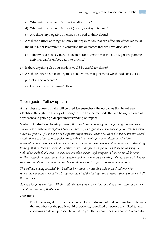- c) What might change in terms of relationships?
- d) What might change in terms of (health, safety) outcomes?
- e) Are there any negative outcomes we need to think about?
- 5) Are there particular things within your organisation that can affect the effectiveness of the Blue Light Programme in achieving the outcomes that we have discussed?
	- a) What would you say needs to be in place to ensure that the Blue Light Programme activities can be embedded into practice?
- 6) Is there anything else you think it would be useful to tell me?
- 7) Are there other people, or organisational work, that you think we should consider as part of in this research?
	- a) Can you provide names/ titles?

#### Topic guide: Follow-up calls

**Aims**: These follow-up calls will be used to sense-check the outcomes that have been identified through the Theory of Change, as well as the methods that are being explored as approaches to gaining a deeper understanding of impact.

**Verbal introduction**: *Thanks for taking the time to speak to us again. As you might remember in our last conversation, we explored how the Blue Light Programme is working in your area, and what outcomes you thought members of the public might experience as a result of this work. We also talked about other work that your organisation is doing to promote good mental health. All of the information and ideas people have shared with us have been summarised, along with some interesting findings that we found in a rapid literature review. We provided you with a short summary of the main ideas we had, via email, as well as some ideas we are exploring about how we could do some further research to better understand whether such outcomes are occurring. We just wanted to have a short conversation to get your perspective on these ideas, to inform our recommendations.*

*This call isn't being recorded, but I will make summary notes that only myself and one other researcher can access. We'll then bring together all of the findings and prepare a short summary of all the interviews.*

*Are you happy to continue with the call? You can stop at any time and, if you don't want to answer any of the questions, that's okay.* 

Questions:

1. Firstly, looking at the outcomes. We sent you a document that contains five outcomes that members of the public could experience, identified by people we talked to and also through desktop research. What do you think about these outcomes? Which do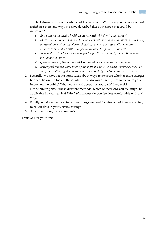you feel strongly represents what could be achieved? Which do you feel are not quite right? Are there any ways we have described these outcomes that could be improved?

- *a. End users (with mental health issues) treated with dignity and respect.*
- *b. More holistic support available for end users with mental health issues (as a result of increased understanding of mental health, how to better use staff's own lived experience of mental health, and providing links to specialist support).*
- *c. Increased trust in the service amongst the public, particularly among those with mental health issues.*
- *d. Quicker recovery (from ill-health) as a result of more appropriate support.*
- *e. Better performance/ care/ investigations from service (as a result of less burnout of staff, and staff being able to draw on new knowledge and own lived experience).*
- 2. Secondly, we have set out some ideas about ways to measure whether these changes happen. Before we look at these, what ways do you currently use to measure your impact on the public? What works well about this approach? Less well?
- 3. Now, thinking about these different methods, which of these did you feel might be applicable in your service? Why? Which ones do you feel less comfortable with and why?
- 4. Finally, what are the most important things we need to think about if we are trying to collect data in your service setting?
- 5. Any other thoughts or comments?

Thank you for your time.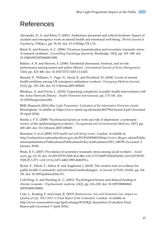## <span id="page-46-0"></span>References

Alexander, D. A. and Klein, S. (2001) 'Ambulance personnel and critical incidents: Impact of accident and emergency work on mental health and emotional well-being', *British Journal of Psychiatry*, 178(Jan.), pp. 76–81. doi: 10.1192/bjp.178.1.76.

Baird, K. and Kracen, A. C. (2006) 'Vicarious traumatization and secondary traumatic stress: A research synthesis', *Counselling Psychology Quarterly*. Routledge, 19(2), pp. 181–188. doi: 10.1080/09515070600811899.

Bakker, A. B. and Heuven, E. (2006) 'Emotional dissonance, burnout, and in-role performance among nurses and police officers', *International Journal of Stress Management*, 13(4), pp. 423–440. doi: 10.1037/1072-5245.13.4.423.

Bennett, P., Williams, Y., Page, N., Hood, K. and Woollard, M. (2004) 'Levels of mental health problems among UK emergency ambulance workers', *Emergency Medicine Journal*, 21(2), pp. 235–236. doi: 10.1136/emj.2003.005645.

Bilodeau, A. and Potvin, L. (2018) 'Unpacking complexity in public health interventions with the Actor-Network Theory', *Health Promotion International*, pp. 173–181. doi: 10.1093/heapro/daw062.

BMG Research (2016) *Blue Light Programme: Evaluation of the Information Provision strand*. Birmingham. Available at: https://www.mind.org.uk/media/4627962/strand-4.pdf (Accessed: 29 April 2018).

Bonde, J. P. E. (2008) 'Psychosocial factors at work and risk of depression: a systematic review of the epidemiological evidence', *Occupational and Environmental Medicine*, 65(7), pp. 438–445. doi: 10.1136/oem.2007.038430.

Boorman, S. et al (2009) *NHS health and well-being review*. London. Available at: http://webarchive.nationalarchives.gov.uk/20130103004910/http://www.dh.gov.uk/en/Public ationsandstatistics/Publications/PublicationsPolicyAndGuidance/DH\_108799 (Accessed: 2 January 2018).

Bride, B. E. (2007) 'Prevalence of secondary traumatic stress among social workers.', *Social work*, pp. 63–70. doi: 10.1037/0735-7028.30.4.386\n10.1177/1049731503254106\n10.1037/0735- 7028.25.3.275.\n10.1111/j.1471-6402.1995.tb00278.x.

Byrne, E., Elliott, E., Saltus, R. and Angharad, J. (2018) 'The creative turn in evidence for public health: Community and arts-based methodologies', in *Journal of Public Health*, pp. i24– i30. doi: 10.1093/pubmed/fdx151.

Cole-King, A. and Harding, K. G. (2001) 'Psychological factors and delayed healing in chronic wounds.', *Psychosomatic medicine*, 63(2), pp. 216–220. doi: 10.1097/00006842- 200103000-00004.

Cole, L., Keating, F. and Grant, R. (2015) *Reminiscence Arts and Dementia Care: Impact on Quality of Life, 2012-2015: A Final Report of the Evaluation*. London. Available at: http://www.eyesociation.org/AgeExchange/RADIQL Quantative Evaluation Final Report.pdf (Accessed: 9 April 2018).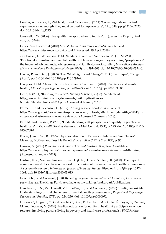Coulter, A., Locock, L., Ziebland, S. and Calabrese, J. (2014) 'Collecting data on patient experience is not enough: they must be used to improve care', *BMJ*, 348, pp. g2225–g2225. doi: 10.1136/bmj.g2225.

Creswell, J. W. (2006) 'Five qualitative approaches to inquiry', in *Qualitative Enquiry*. 2nd edn, pp. 53–84.

Crisis Care Concordat (2018) *Mental Health Crisis Care Concordat*. Available at: https://www.crisiscareconcordat.org.uk/ (Accessed: 29 April 2018).

van Daalen, G., Willemsen, T. M., Sanders, K. and van Veldhoven, M. J. P. M. (2009) 'Emotional exhaustion and mental health problems among employees doing "people work": the impact of job demands, job resources and family-to-work conflict', *International Archives of Occupational and Environmental Health*, 82(3), pp. 291–303. doi: 10.1007/s00420-008-0334-0.

Davies, R. and Dart, J. (2005) 'The "Most Significant Change" (MSC) Technique', *Change*, (April), pp. 1–104. doi: 10.1104/pp.110.159269.

Davydov, D. M., Stewart, R., Ritchie, K. and Chaudieu, I. (2010) 'Resilience and mental health', *Clinical Psychology Review*, pp. 479–495. doi: 10.1016/j.cpr.2010.03.003.

Dean, E. (2011) 'Building resilience', *Nursing Standard*, 26(32). Available at: http://www.ctrtraining.co.uk/documents/BuildingResilience-NursingStandardArticle2012.pdf (Accessed: 4 January 2018).

Farmer, P. and Stevenson, D. (2017) *Thriving at work*. London. Available at: https://www.gov.uk/government/uploads/system/uploads/attachment\_data/file/658145/thri ving-at-work-stevenson-farmer-review.pdf (Accessed: 2 January 2018).

Farr, M. and Cressey, P. (2015) 'Understanding staff perspectives of quality in practice in healthcare', *BMC Health Services Research*. BioMed Central, 15(1), p. 123. doi: 10.1186/s12913- 015-0788-1.

Foster, J. and Carr, B. (1995) 'Depersonalisation of Patients in Intensive Care: Nurses' Meaning, Motives and Possible Benefits', *Australian Critical Care*, 8(2), p. 95.

Garrow, V. (2016) *Presenteeism A review of current thinking*. Brighton. Available at: https://www.employment-studies.co.uk/resource/presenteeism-review-current-thinking (Accessed: 4 January 2018).

Gärtner, F. R., Nieuwenhuijsen, K., van Dijk, F. J. H. and Sluiter, J. K. (2010) 'The impact of common mental disorders on the work functioning of nurses and allied health professionals: A systematic review', *International Journal of Nursing Studies*. Elsevier Ltd, 47(8), pp. 1047– 1061. doi: 10.1016/j.ijnurstu.2010.03.013.

Goodrich, J. and Cornwell, J. (2008) *Seeing the person in the patient - The Point of Care review paper*, *English*. The Kings Fund. Available at: www.kingsfund.org.uk/publications.

Henderson, S. N., Van Hasselt, V. B., LeDuc, T. J. and Couwels, J. (2016) 'Firefighter suicide: Understanding cultural challenges for mental health professionals.', *Professional Psychology: Research and Practice*, 47(3), pp. 224–230. doi: 10.1037/pro0000072.

Hudon, C., Loignon, C., Grabovschi, C., Bush, P., Lambert, M., Goulet, É., Boyer, S., De Laat, M. and Fournier, N. (2016) 'Medical education for equity in health: A participatory action research involving persons living in poverty and healthcare professionals', *BMC Medical*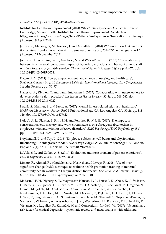*Education*, 16(1). doi: 10.1186/s12909-016-0630-4.

Institute for Healthcare Improvement (2014) *Patient Care Experience Observation Exercise*. Cambridge, Massachusetts: Institute for Healthcare Improvement. Available at: http://www.ihi.org/resources/Pages/Tools/PatientCareExperienceObservationExercise.aspx (Accessed: 9 April 2018).

Jeffrey, K., Mahony, S., Michaelson, J. and Abdallah, S. (2014) *Wellbeing at work: A review of the literature*. London. Available at: http://neweconomics.org/2014/03/wellbeing-at-work/ (Accessed: 27 November 2017).

Johnson, H., Worthington, R., Gredecki, N. and Wilks-Riley, F. R. (2016) 'The relationship between trust in work colleagues, impact of boundary violations and burnout among staff within a forensic psychiatric service', *The Journal of Forensic Practice*, 18(1), pp. 64–75. doi: 10.1108/JFP-03-2015-0024.

Kagan, P. N. (2014) 'Power, empowerment, and change in nursing and health care', in Siarkowski Amer, K. (ed.) *Quality and Safety for Transformational Nursing: Core Competencies*. 1st edn. Pearson, pp. 70–97.

Kanerva, A., Kivinen, T. and Lammintakanen, J. (2017) 'Collaborating with nurse leaders to develop patient safety practices', *Leadership in Health Services*, 30(3), pp. 249–262. doi: 10.1108/LHS-05-2016-0022.

Knaak, S., Mantler, E. and Szeto, A. (2017) 'Mental illness-related stigma in healthcare', *Healthcare Management Forum*. SAGE PublicationsSage CA: Los Angeles, CA, 30(2), pp. 111– 116. doi: 10.1177/0840470416679413.

Kok, A. A. L., Plaisier, I., Smit, J. H. and Penninx, B. W. J. H. (2017) 'The impact of conscientiousness, mastery, and work circumstances on subsequent absenteeism in employees with and without affective disorders', *BMC Psychology*. BMC Psychology, 5(1), pp. 1–10. doi: 10.1186/s40359-017-0179-y.

Kuykendall, L. and Tay, L. (2015) 'Employee subjective well-being and physiological functioning: An integrative model', *Health Psychology*. SAGE PublicationsSage UK: London, England, 2(1), pp. 1–11. doi: 10.1177/2055102915592090.

LaVela, S. L. and Gallan, A. S. (2014) 'Evaluation and measurement of patient experience', *Patient Experience Journal*, 1(1), pp. 28–36.

Limato, R., Ahmed, R., Magdalena, A., Nasir, S. and Kotvojs, F. (2018) 'Use of most significant change (MSC) technique to evaluate health promotion training of maternal community health workers in Cianjur district, Indonesia', *Evaluation and Program Planning*, 66, pp. 102–110. doi: 10.1016/j.evalprogplan.2017.10.011.

Madsen, I. E. H., Nyberg, S. T., Magnusson Hanson, L. L., Ferrie, J. E., Ahola, K., Alfredsson, L., Batty, G. D., Bjorner, J. B., Borritz, M., Burr, H., Chastang, J.-F., de Graaf, R., Dragano, N., Hamer, M., Jokela, M., Knutsson, A., Koskenvuo, M., Koskinen, A., Leineweber, C., Niedhammer, I., Nielsen, M. L., Nordin, M., Oksanen, T., Pejtersen, J. H., Pentti, J., Plaisier, I., Salo, P., Singh-Manoux, A., Suominen, S., ten Have, M., Theorell, T., Toppinen-Tanner, S., Vahtera, J., Väänänen, A., Westerholm, P. J. M., Westerlund, H., Fransson, E. I., Heikkilä, K., Virtanen, M., Rugulies, R., Kivimäki, M. and Consortium, for the I.-W. (2017) 'Job strain as a risk factor for clinical depression: systematic review and meta-analysis with additional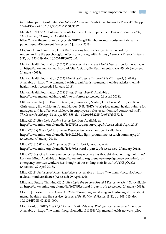individual participant data', *Psychological Medicine*. Cambridge University Press, 47(08), pp. 1342–1356. doi: 10.1017/S003329171600355X.

Marsh, S. (2017) 'Ambulance call-outs for mental health patients in England soar by 23%', *The Guardian*, 13 August. Available at:

https://www.theguardian.com/society/2017/aug/13/ambulance-call-outs-mental-healthpatients-soar-23-per-cent (Accessed: 5 January 2018).

McCann, L. and Pearlman, L. (1990) 'Vicarious traumatization: A framework for understanding tile psychological effects of working with victims', *Journal of Traumatic Stress*, 3(1), pp. 131–149. doi: 10.1007/BF00975140.

Mental Health Foundation (2015) *Fundamental Facts About Mental Health*. London. Available at: https://www.mentalhealth.org.uk/sites/default/files/fundamental-facts-15.pdf (Accessed: 2 January 2018).

Mental Health Foundation (2017) *Mental health statistics: mental health at work*, *Statistics*. Available at: https://www.mentalhealth.org.uk/statistics/mental-health-statistics-mentalhealth-work (Accessed: 2 January 2018).

Mental Health Foundation (2018) *Stress*, *Stress: A-to-Z*. Available at: https://www.mentalhealth.org.uk/a-to-z/s/stress (Accessed: 24 April 2018).

Milligan-Saville, J. S., Tan, L., Gayed, A., Barnes, C., Madan, I., Dobson, M., Bryant, R. A., Christensen, H., Mykletun, A. and Harvey, S. B. (2017) 'Workplace mental health training for managers and its effect on sick leave in employees: a cluster randomised controlled trial', *The Lancet Psychiatry*, 4(11), pp. 850–858. doi: 10.1016/S2215-0366(17)30372-3.

Mind (2015) *Blue Light Scoping Survey*. London. Available at: https://www.mind.org.uk/media/4627950/scoping-survey.pdf (Accessed: 29 April 2018).

Mind (2016a) *Blue Light Programme Research Summary*. London. Available at: https://www.mind.org.uk/media/4614222/blue-light-programme-research-summary.pdf (Accessed: 4 January 2018).

Mind (2016b) *Blue Light Programme Strand 1 (Part 2)*. Available at: https://www.mind.org.uk/media/4633705/strand-1-part-2.pdf (Accessed: 2 January 2018).

Mind (2016c) 'One in four emergency services workers has thought about ending their lives'. London: Mind. Available at: https://www.mind.org.uk/news-campaigns/news/one-in-fouremergency-services-workers-has-thought-about-ending-their-lives/#.WuYKBqQvzX6 (Accessed: 29 April 2018).

Mind (2018) *Resilience at Mind*, *Local Minds*. Available at: https://www.mind.org.uk/aboutus/local-minds/resilience (Accessed: 29 April 2018).

Mind and Future Thinking (2015) *Blue Light Programme Strand 1 Evaluation (Part 1)*. Available at: https://www.mind.org.uk/media/4627953/strand-1-part-1.pdf (Accessed: 2 January 2018).

Moffitt, J., Bostock, J. and Cave, A. (2014) 'Promoting well-being and reducing stigma about mental health in the fire service', *Journal of Public Mental Health*, 13(2), pp. 103–113. doi: 10.1108/JPMH-02-2013-0004.

Mountford, S. (2017) *Blue Light Mental Health Networks: Pilot year evaluation report*. London. Available at: https://www.mind.org.uk/media/15115538/blp-mental-health-network-pilot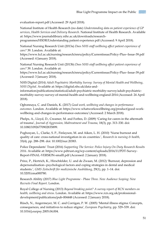evaluation-report.pdf (Accessed: 29 April 2018).

National Institute of Health Research (no date) *Understanding data on patient experience of GP services*, *Health Services and Delivery Research*. National Institute of Health Research. Available at: https://www.journalslibrary.nihr.ac.uk/downloads/research-

programmes/HSDR/Understanding patient experience.pdf (Accessed: 9 April 2018).

National Nursing Research Unit (2013a) *Does NHS staff wellbeing affect patient experience of care?* 39. London. Available at:

https://www.kcl.ac.uk/nursing/research/nnru/policy/Currentissue/Policy-Plus--Issue-39.pdf (Accessed: 4 January 2018).

National Nursing Research Unit (2013b) *Does NHS staff wellbeing affect patient experience of care?* 39. London. Available at:

https://www.kcl.ac.uk/nursing/research/nnru/policy/Currentissue/Policy-Plus--Issue-39.pdf (Accessed: 3 January 2018).

NHS Digital (2014) *Adult Psychiatric Morbidity Survey: Survey of Mental Health and Wellbeing*, *NHS Digital*. Available at: https://digital.nhs.uk/data-and-

information/publications/statistical/adult-psychiatric-morbidity-survey/adult-psychiatricmorbidity-survey-survey-of-mental-health-and-wellbeing-england-2014 (Accessed: 24 April 2018).

Ogbonnaya, C. and Daniels, K. (2017) *Good work, wellbeing and changes in performance outcomes*. London. Available at: https://www.whatworkswellbeing.org/product/good-workwellbeing-and-changes-in-performance-outcomes/ (Accessed: 2 March 2018).

Phelps, A., Lloyd, D., Creamer, M. and Forbes, D. (2009) 'Caring for carers in the aftermath of trauma', *Journal of Aggression, Maltreatment and Trauma*, 18(3), pp. 313–330. doi: 10.1080/10926770902835899.

Poghosyan, L., Clarke, S. P., Finlayson, M. and Aiken, L. H. (2010) 'Nurse burnout and quality of care: cross-national investigation in six countries.', *Research in nursing & health*, 33(4), pp. 288–298. doi: 10.1002/nur.20383.

Police Dependants' Trust (2016) *Supporting The Service: Police Injury On Duty Research Results 2016*. Available at: https://www.pdtrust.org/wp-content/uploads/2016/11/PDT-Survey-Report-FINAL-VERSION-smalll.pdf (Accessed: 2 January 2018).

Prinz, P., Hertrich, K., Hirschfelder, U. and de Zwaan, M. (2012) 'Burnout, depression and depersonalisation--psychological factors and coping strategies in dental and medical students.', *GMS Zeitschrift für medizinische Ausbildung*, 29(1), pp. 1–14. doi: 10.3205/zma000780.

Research Ability (2017) *Blue Light Programme - Phase Three. New Audience Scoping: New Recruits Final Report*. London.

Royal College of Nursing (2013) *Beyond breaking point? A survey report of RCN members on health, wellbeing and stress*. London. Available at: https://www.rcn.org.uk/professionaldevelopment/publications/pub-004448 (Accessed: 2 January 2018).

Rüsch, N., Angermeyer, M. C. and Corrigan, P. W. (2005) 'Mental illness stigma: Concepts, consequences, and initiatives to reduce stigma', *European Psychiatry*, pp. 529–539. doi: 10.1016/j.eurpsy.2005.04.004.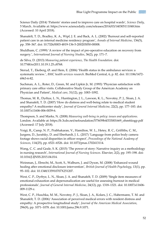Science Daily (2014) 'Patients' stories used to improve care on hospital wards', *Science Daily*, 5 March. Available at: https://www.sciencedaily.com/releases/2014/03/140305111048.htm (Accessed: 10 April 2018).

Shanafelt, T. D., Bradley, K. A., Wipf, J. E. and Back, A. L. (2002) 'Burnout and self-reported patient care in an internal medicine residency program', *Annals of Internal Medicine*, 136(5), pp. 358–367. doi: 10.7326/0003-4819-136-5-200203050-00008.

Shuldham, C. (1999) 'A review of the impact of pre-operative education on recovery from surgery.', *International Journal of Nursing Studies*, 36(2), pp. 171–7.

de Silva, D. (2013) *Measuring patient experience*, *The Health Foundation*. doi: 10.7748/nr2011.10.19.1.25.c8768.

Sterud, T., Ekeberg, Ø. and Hem, E. (2006) 'Health status in the ambulance services: a systematic review.', *BMC health services research*. BioMed Central, 6, p. 82. doi: 10.1186/1472- 6963-6-82.

Suchman, A. L., Roter, D., Green, M. and Lipkin Jr, M. (1993) 'Physician satisfaction with primary care office visits. Collaborative Study Group of the American Academy on Physician and Patient', *Medical care*, 31(12), pp. 1083–1092.

Thomas, M. R., Dyrbye, L. N., Huntington, J. L., Lawson, K. L., Novotny, P. J., Sloan, J. A. and Shanafelt, T. D. (2007) 'How do distress and well-being relate to medical student empathy? A multicenter study', *Journal of General Internal Medicine*, 22(2), pp. 177–183. doi: 10.1007/s11606-006-0039-6.

Thompson, S. and Marks, N. (2008) *Measuring well-being in policy: issues and applications*. London. Available at: https://b.3cdn.net/nefoundation/575659b4f333001669\_ohm6iiogp.pdf (Accessed: 17 July 2018).

Voigt, R., Camp, N. P., Prabhakaran, V., Hamilton, W. L., Hetey, R. C., Griffiths, C. M., Jurgens, D., Jurafsky, D. and Eberhardt, J. L. (2017) 'Language from police body camera footage shows racial disparities in officer respect', *Proceedings of the National Academy of Sciences*, 114(25), pp. 6521–6526. doi: 10.1073/pnas.1702413114.

Wang, C. C. and Geale, S. K. (2015) 'The power of story: Narrative inquiry as a methodology in nursing research', *International Journal of Nursing Sciences*. Elsevier, 2(2), pp. 195–198. doi: 10.1016/J.IJNSS.2015.04.014.

Weinman, J., Ebrecht, M., Scott, S., Walburn, J. and Dyson, M. (2008) 'Enhanced wound healing after emotional disclosure intervention', *British Journal of Health Psychology*, 13(1), pp. 95–102. doi: 10.1348/135910707X251207.

West, C. P., Dyrbye, L. N., Sloan, J. A. and Shanafelt, T. D. (2009) 'Single item measures of emotional exhaustion and depersonalization are useful for assessing burnout in medical professionals', *Journal of General Internal Medicine*, 24(12), pp. 1318–1321. doi: 10.1007/s11606- 009-1129-z.

West, C. P., Huschka, M. M., Novotny, P. J., Sloan, J. A., Kolars, J. C., Habermann, T. M. and Shanafelt, T. D. (2006) 'Association of perceived medical errors with resident distress and empathy: A prospective longitudinal study', *Journal of the American Medical Association*, 296(9), pp. 1071–1078. doi: 10.1001/jama.296.9.1071.